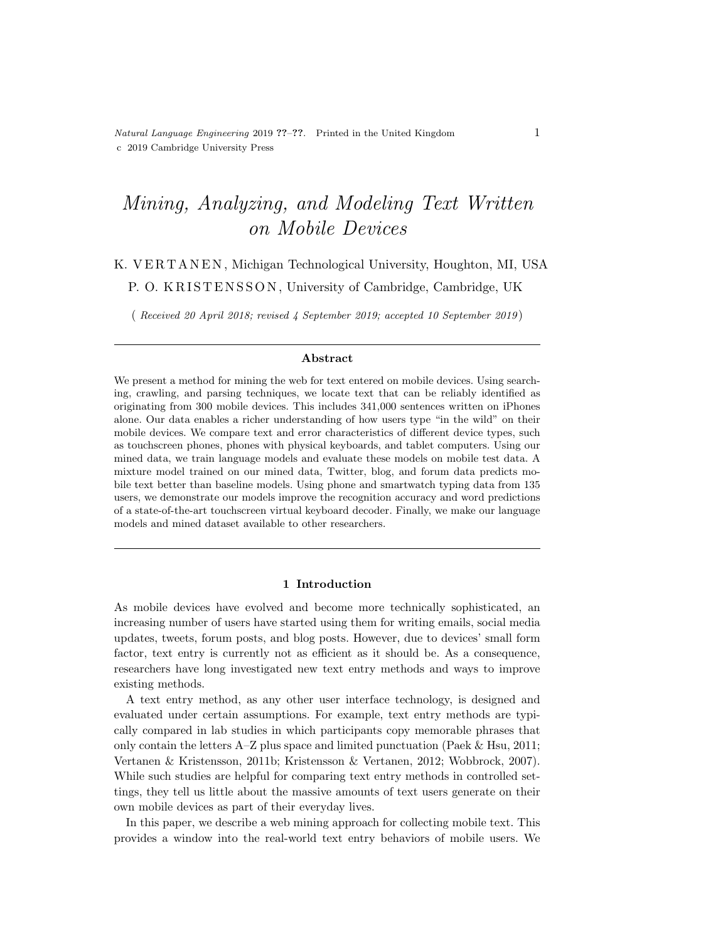# Mining, Analyzing, and Modeling Text Written on Mobile Devices

## K. VERTANEN, Michigan Technological University, Houghton, MI, USA P. O. KRISTENSSON, University of Cambridge, Cambridge, UK

( Received 20 April 2018; revised 4 September 2019; accepted 10 September 2019 )

### Abstract

We present a method for mining the web for text entered on mobile devices. Using searching, crawling, and parsing techniques, we locate text that can be reliably identified as originating from 300 mobile devices. This includes 341,000 sentences written on iPhones alone. Our data enables a richer understanding of how users type "in the wild" on their mobile devices. We compare text and error characteristics of different device types, such as touchscreen phones, phones with physical keyboards, and tablet computers. Using our mined data, we train language models and evaluate these models on mobile test data. A mixture model trained on our mined data, Twitter, blog, and forum data predicts mobile text better than baseline models. Using phone and smartwatch typing data from 135 users, we demonstrate our models improve the recognition accuracy and word predictions of a state-of-the-art touchscreen virtual keyboard decoder. Finally, we make our language models and mined dataset available to other researchers.

#### 1 Introduction

As mobile devices have evolved and become more technically sophisticated, an increasing number of users have started using them for writing emails, social media updates, tweets, forum posts, and blog posts. However, due to devices' small form factor, text entry is currently not as efficient as it should be. As a consequence, researchers have long investigated new text entry methods and ways to improve existing methods.

A text entry method, as any other user interface technology, is designed and evaluated under certain assumptions. For example, text entry methods are typically compared in lab studies in which participants copy memorable phrases that only contain the letters  $A-Z$  plus space and limited punctuation [\(Paek](#page-38-0) & Hsu, 2011; Vertanen & [Kristensson,](#page-39-0) 2011b; [Kristensson](#page-37-0) & Vertanen, 2012; [Wobbrock,](#page-40-0) 2007). While such studies are helpful for comparing text entry methods in controlled settings, they tell us little about the massive amounts of text users generate on their own mobile devices as part of their everyday lives.

In this paper, we describe a web mining approach for collecting mobile text. This provides a window into the real-world text entry behaviors of mobile users. We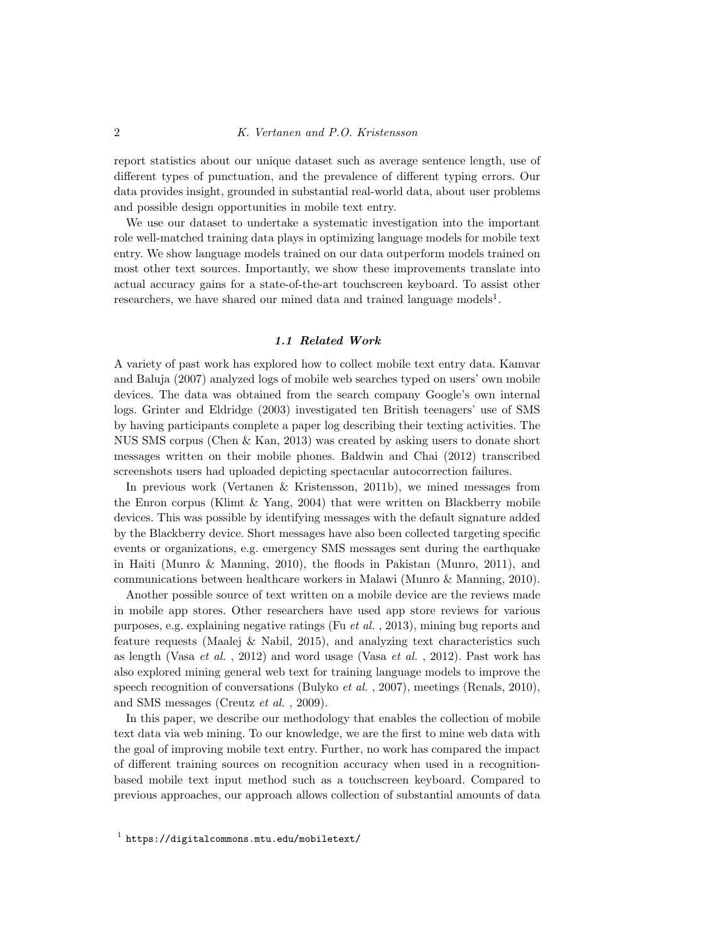report statistics about our unique dataset such as average sentence length, use of different types of punctuation, and the prevalence of different typing errors. Our data provides insight, grounded in substantial real-world data, about user problems and possible design opportunities in mobile text entry.

We use our dataset to undertake a systematic investigation into the important role well-matched training data plays in optimizing language models for mobile text entry. We show language models trained on our data outperform models trained on most other text sources. Importantly, we show these improvements translate into actual accuracy gains for a state-of-the-art touchscreen keyboard. To assist other researchers, we have shared our mined data and trained language models<sup>[1](#page-1-0)</sup>.

### 1.1 Related Work

A variety of past work has explored how to collect mobile text entry data. Kamvar and Baluja [\(2007\)](#page-37-1) analyzed logs of mobile web searches typed on users' own mobile devices. The data was obtained from the search company Google's own internal logs. Grinter and Eldridge [\(2003\)](#page-37-2) investigated ten British teenagers' use of SMS by having participants complete a paper log describing their texting activities. The NUS SMS corpus [\(Chen](#page-36-0) & Kan, 2013) was created by asking users to donate short messages written on their mobile phones. Baldwin and Chai [\(2012\)](#page-35-0) transcribed screenshots users had uploaded depicting spectacular autocorrection failures.

In previous work (Vertanen & [Kristensson,](#page-39-0) 2011b), we mined messages from the Enron corpus [\(Klimt](#page-37-3)  $&$  Yang, 2004) that were written on Blackberry mobile devices. This was possible by identifying messages with the default signature added by the Blackberry device. Short messages have also been collected targeting specific events or organizations, e.g. emergency SMS messages sent during the earthquake in Haiti (Munro & [Manning,](#page-38-1) 2010), the floods in Pakistan [\(Munro,](#page-38-2) 2011), and communications between healthcare workers in Malawi (Munro & [Manning,](#page-38-1) 2010).

Another possible source of text written on a mobile device are the reviews made in mobile app stores. Other researchers have used app store reviews for various purposes, e.g. explaining negative ratings (Fu et al. , [2013\)](#page-37-4), mining bug reports and feature requests [\(Maalej](#page-38-3) & Nabil, 2015), and analyzing text characteristics such as length [\(Vasa](#page-39-1)  $et \ al.$ , 2012) and word usage (Vasa  $et \ al.$ , 2012). Past work has also explored mining general web text for training language models to improve the speech recognition of conversations [\(Bulyko](#page-36-1) *et al.*, 2007), meetings [\(Renals,](#page-39-2) 2010), and SMS messages [\(Creutz](#page-36-2) et al. , 2009).

<span id="page-1-0"></span>In this paper, we describe our methodology that enables the collection of mobile text data via web mining. To our knowledge, we are the first to mine web data with the goal of improving mobile text entry. Further, no work has compared the impact of different training sources on recognition accuracy when used in a recognitionbased mobile text input method such as a touchscreen keyboard. Compared to previous approaches, our approach allows collection of substantial amounts of data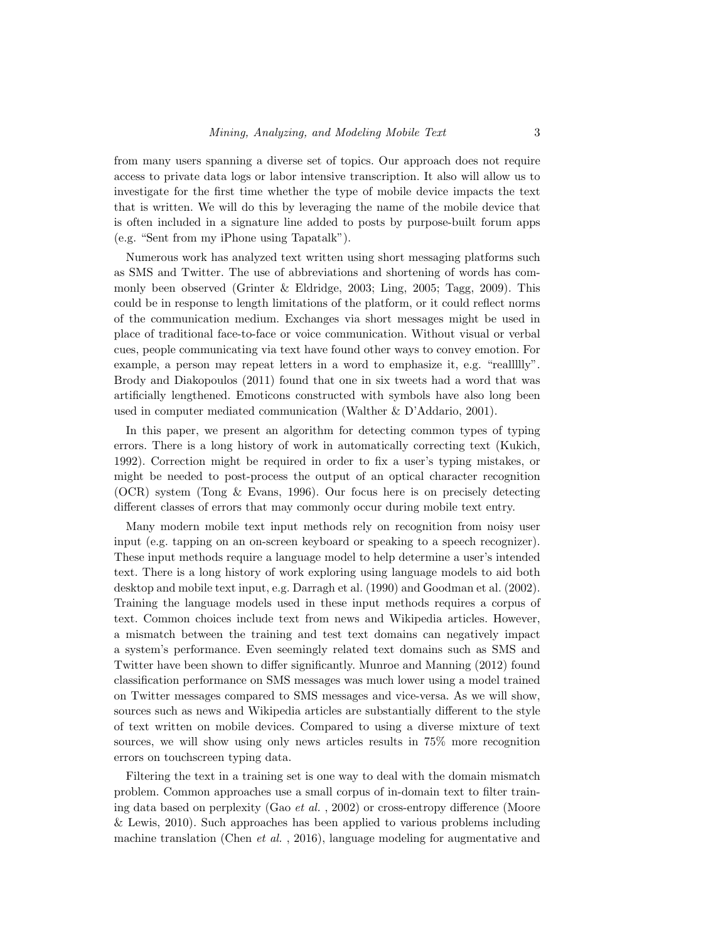from many users spanning a diverse set of topics. Our approach does not require access to private data logs or labor intensive transcription. It also will allow us to investigate for the first time whether the type of mobile device impacts the text that is written. We will do this by leveraging the name of the mobile device that is often included in a signature line added to posts by purpose-built forum apps (e.g. "Sent from my iPhone using Tapatalk").

Numerous work has analyzed text written using short messaging platforms such as SMS and Twitter. The use of abbreviations and shortening of words has commonly been observed (Grinter & [Eldridge,](#page-37-2) 2003; [Ling,](#page-38-4) 2005; [Tagg,](#page-39-3) 2009). This could be in response to length limitations of the platform, or it could reflect norms of the communication medium. Exchanges via short messages might be used in place of traditional face-to-face or voice communication. Without visual or verbal cues, people communicating via text have found other ways to convey emotion. For example, a person may repeat letters in a word to emphasize it, e.g. "realllily". Brody and Diakopoulos [\(2011\)](#page-36-3) found that one in six tweets had a word that was artificially lengthened. Emoticons constructed with symbols have also long been used in computer mediated communication (Walther & [D'Addario,](#page-40-1) 2001).

In this paper, we present an algorithm for detecting common types of typing errors. There is a long history of work in automatically correcting text [\(Kukich,](#page-37-5) [1992\)](#page-37-5). Correction might be required in order to fix a user's typing mistakes, or might be needed to post-process the output of an optical character recognition (OCR) system (Tong & [Evans,](#page-39-4) 1996). Our focus here is on precisely detecting different classes of errors that may commonly occur during mobile text entry.

Many modern mobile text input methods rely on recognition from noisy user input (e.g. tapping on an on-screen keyboard or speaking to a speech recognizer). These input methods require a language model to help determine a user's intended text. There is a long history of work exploring using language models to aid both desktop and mobile text input, e.g. Darragh et al. [\(1990\)](#page-36-4) and Goodman et al. [\(2002\)](#page-37-6). Training the language models used in these input methods requires a corpus of text. Common choices include text from news and Wikipedia articles. However, a mismatch between the training and test text domains can negatively impact a system's performance. Even seemingly related text domains such as SMS and Twitter have been shown to differ significantly. Munroe and Manning [\(2012\)](#page-38-5) found classification performance on SMS messages was much lower using a model trained on Twitter messages compared to SMS messages and vice-versa. As we will show, sources such as news and Wikipedia articles are substantially different to the style of text written on mobile devices. Compared to using a diverse mixture of text sources, we will show using only news articles results in 75% more recognition errors on touchscreen typing data.

Filtering the text in a training set is one way to deal with the domain mismatch problem. Common approaches use a small corpus of in-domain text to filter training data based on perplexity (Gao et al. , [2002\)](#page-37-7) or cross-entropy difference [\(Moore](#page-38-6) & [Lewis,](#page-38-6) 2010). Such approaches has been applied to various problems including machine translation [\(Chen](#page-36-5) *et al.*, 2016), language modeling for augmentative and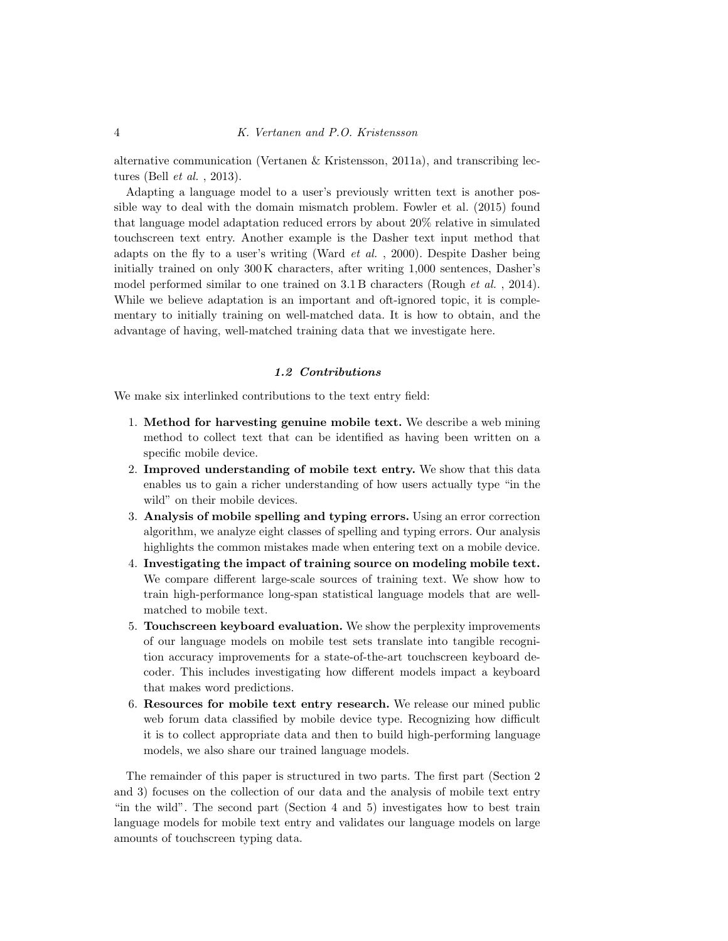alternative communication (Vertanen & [Kristensson,](#page-39-5) 2011a), and transcribing lectures (Bell et al. , [2013\)](#page-36-6).

Adapting a language model to a user's previously written text is another possible way to deal with the domain mismatch problem. Fowler et al. [\(2015\)](#page-37-8) found that language model adaptation reduced errors by about 20% relative in simulated touchscreen text entry. Another example is the Dasher text input method that adapts on the fly to a user's writing [\(Ward](#page-40-2) *et al.*, 2000). Despite Dasher being initially trained on only 300 K characters, after writing 1,000 sentences, Dasher's model performed similar to one trained on 3.1 B characters [\(Rough](#page-39-6) *et al.*, 2014). While we believe adaptation is an important and oft-ignored topic, it is complementary to initially training on well-matched data. It is how to obtain, and the advantage of having, well-matched training data that we investigate here.

### 1.2 Contributions

We make six interlinked contributions to the text entry field:

- 1. Method for harvesting genuine mobile text. We describe a web mining method to collect text that can be identified as having been written on a specific mobile device.
- 2. Improved understanding of mobile text entry. We show that this data enables us to gain a richer understanding of how users actually type "in the wild" on their mobile devices.
- 3. Analysis of mobile spelling and typing errors. Using an error correction algorithm, we analyze eight classes of spelling and typing errors. Our analysis highlights the common mistakes made when entering text on a mobile device.
- 4. Investigating the impact of training source on modeling mobile text. We compare different large-scale sources of training text. We show how to train high-performance long-span statistical language models that are wellmatched to mobile text.
- 5. Touchscreen keyboard evaluation. We show the perplexity improvements of our language models on mobile test sets translate into tangible recognition accuracy improvements for a state-of-the-art touchscreen keyboard decoder. This includes investigating how different models impact a keyboard that makes word predictions.
- 6. Resources for mobile text entry research. We release our mined public web forum data classified by mobile device type. Recognizing how difficult it is to collect appropriate data and then to build high-performing language models, we also share our trained language models.

The remainder of this paper is structured in two parts. The first part (Section [2](#page-4-0) and [3\)](#page-6-0) focuses on the collection of our data and the analysis of mobile text entry "in the wild". The second part (Section [4](#page-15-0) and [5\)](#page-24-0) investigates how to best train language models for mobile text entry and validates our language models on large amounts of touchscreen typing data.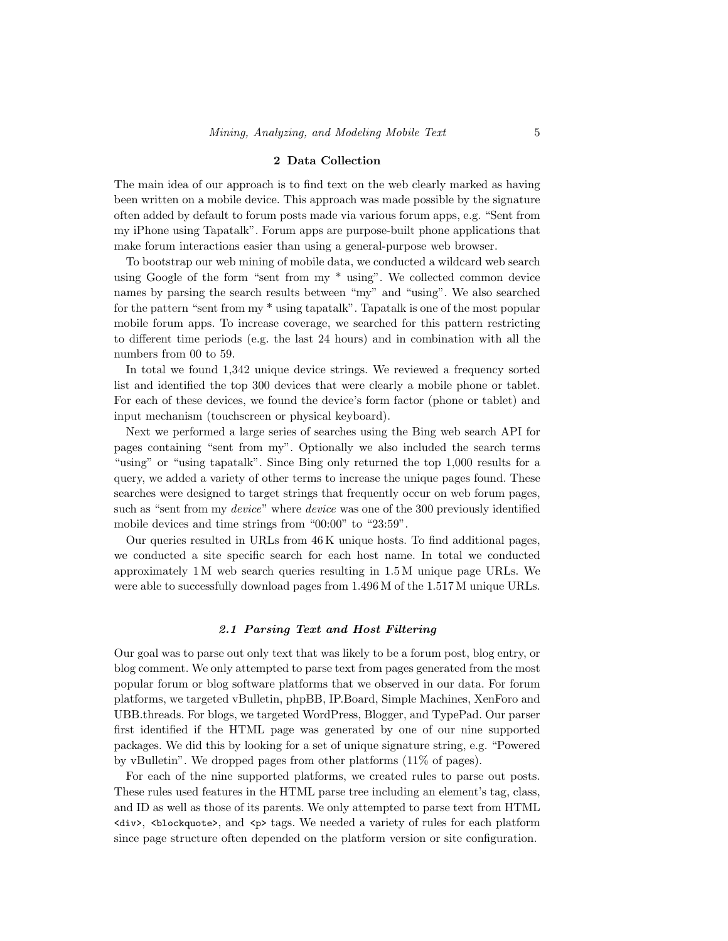#### 2 Data Collection

<span id="page-4-0"></span>The main idea of our approach is to find text on the web clearly marked as having been written on a mobile device. This approach was made possible by the signature often added by default to forum posts made via various forum apps, e.g. "Sent from my iPhone using Tapatalk". Forum apps are purpose-built phone applications that make forum interactions easier than using a general-purpose web browser.

To bootstrap our web mining of mobile data, we conducted a wildcard web search using Google of the form "sent from my \* using". We collected common device names by parsing the search results between "my" and "using". We also searched for the pattern "sent from my \* using tapatalk". Tapatalk is one of the most popular mobile forum apps. To increase coverage, we searched for this pattern restricting to different time periods (e.g. the last 24 hours) and in combination with all the numbers from 00 to 59.

In total we found 1,342 unique device strings. We reviewed a frequency sorted list and identified the top 300 devices that were clearly a mobile phone or tablet. For each of these devices, we found the device's form factor (phone or tablet) and input mechanism (touchscreen or physical keyboard).

Next we performed a large series of searches using the Bing web search API for pages containing "sent from my". Optionally we also included the search terms "using" or "using tapatalk". Since Bing only returned the top 1,000 results for a query, we added a variety of other terms to increase the unique pages found. These searches were designed to target strings that frequently occur on web forum pages, such as "sent from my *device*" where *device* was one of the 300 previously identified mobile devices and time strings from "00:00" to "23:59".

Our queries resulted in URLs from 46 K unique hosts. To find additional pages, we conducted a site specific search for each host name. In total we conducted approximately 1 M web search queries resulting in 1.5 M unique page URLs. We were able to successfully download pages from 1.496 M of the 1.517 M unique URLs.

#### 2.1 Parsing Text and Host Filtering

Our goal was to parse out only text that was likely to be a forum post, blog entry, or blog comment. We only attempted to parse text from pages generated from the most popular forum or blog software platforms that we observed in our data. For forum platforms, we targeted vBulletin, phpBB, IP.Board, Simple Machines, XenForo and UBB.threads. For blogs, we targeted WordPress, Blogger, and TypePad. Our parser first identified if the HTML page was generated by one of our nine supported packages. We did this by looking for a set of unique signature string, e.g. "Powered by vBulletin". We dropped pages from other platforms (11% of pages).

For each of the nine supported platforms, we created rules to parse out posts. These rules used features in the HTML parse tree including an element's tag, class, and ID as well as those of its parents. We only attempted to parse text from HTML <div>, <blockquote>, and <p> tags. We needed a variety of rules for each platform since page structure often depended on the platform version or site configuration.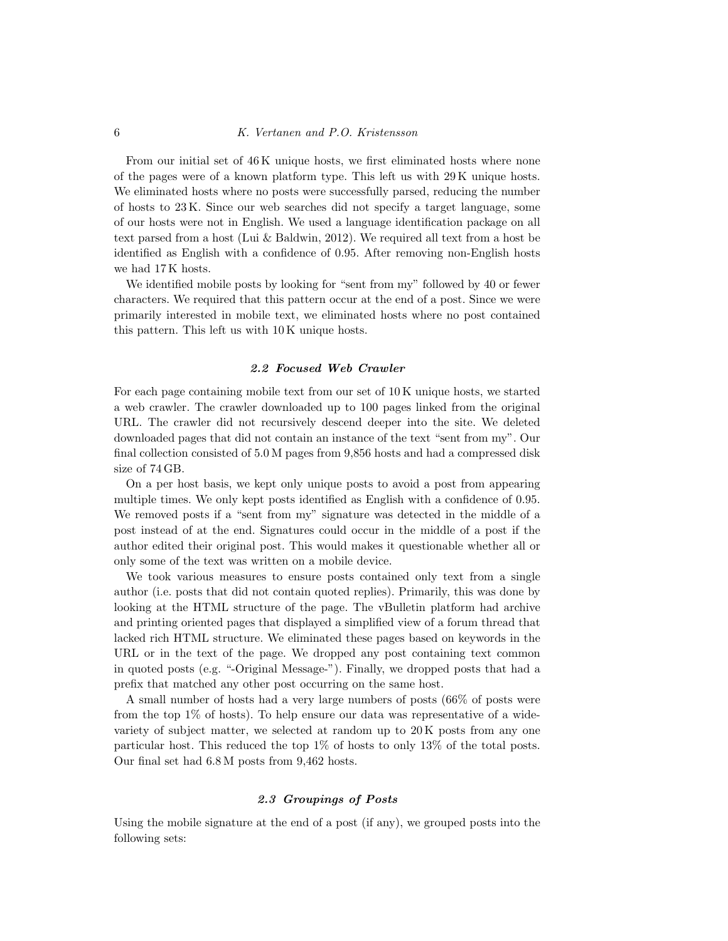From our initial set of 46 K unique hosts, we first eliminated hosts where none of the pages were of a known platform type. This left us with 29 K unique hosts. We eliminated hosts where no posts were successfully parsed, reducing the number of hosts to 23 K. Since our web searches did not specify a target language, some of our hosts were not in English. We used a language identification package on all text parsed from a host (Lui & [Baldwin,](#page-38-7) 2012). We required all text from a host be identified as English with a confidence of 0.95. After removing non-English hosts we had 17 K hosts.

We identified mobile posts by looking for "sent from my" followed by 40 or fewer characters. We required that this pattern occur at the end of a post. Since we were primarily interested in mobile text, we eliminated hosts where no post contained this pattern. This left us with 10 K unique hosts.

### 2.2 Focused Web Crawler

For each page containing mobile text from our set of 10 K unique hosts, we started a web crawler. The crawler downloaded up to 100 pages linked from the original URL. The crawler did not recursively descend deeper into the site. We deleted downloaded pages that did not contain an instance of the text "sent from my". Our final collection consisted of 5.0 M pages from 9,856 hosts and had a compressed disk size of 74 GB.

On a per host basis, we kept only unique posts to avoid a post from appearing multiple times. We only kept posts identified as English with a confidence of 0.95. We removed posts if a "sent from my" signature was detected in the middle of a post instead of at the end. Signatures could occur in the middle of a post if the author edited their original post. This would makes it questionable whether all or only some of the text was written on a mobile device.

We took various measures to ensure posts contained only text from a single author (i.e. posts that did not contain quoted replies). Primarily, this was done by looking at the HTML structure of the page. The vBulletin platform had archive and printing oriented pages that displayed a simplified view of a forum thread that lacked rich HTML structure. We eliminated these pages based on keywords in the URL or in the text of the page. We dropped any post containing text common in quoted posts (e.g. "-Original Message-"). Finally, we dropped posts that had a prefix that matched any other post occurring on the same host.

A small number of hosts had a very large numbers of posts (66% of posts were from the top 1% of hosts). To help ensure our data was representative of a widevariety of subject matter, we selected at random up to 20 K posts from any one particular host. This reduced the top 1% of hosts to only 13% of the total posts. Our final set had 6.8 M posts from 9,462 hosts.

### 2.3 Groupings of Posts

Using the mobile signature at the end of a post (if any), we grouped posts into the following sets: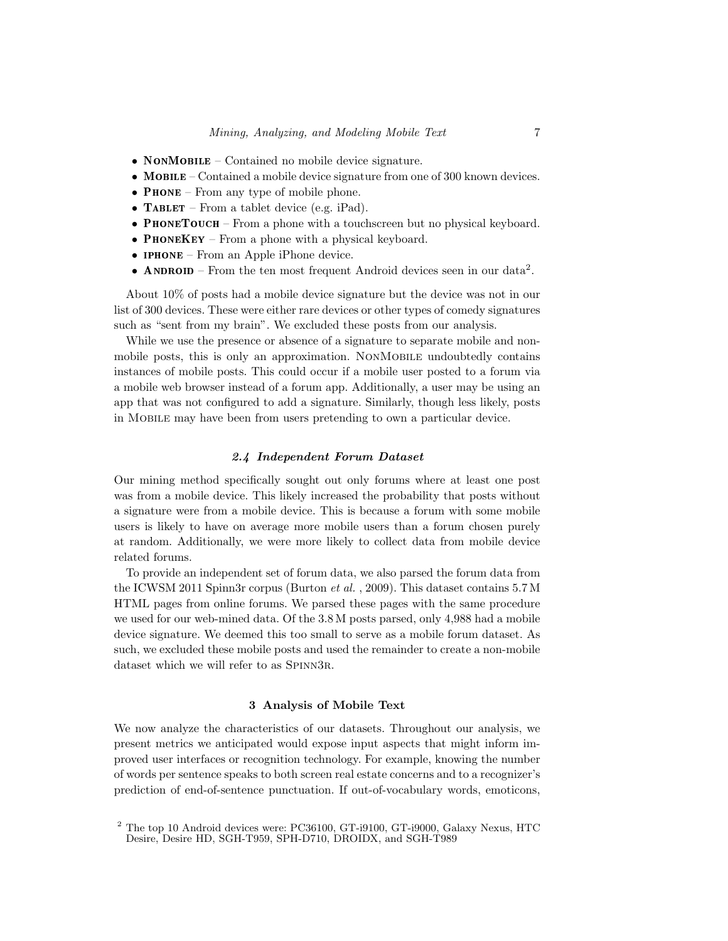- NONMOBILE Contained no mobile device signature.
- MOBILE Contained a mobile device signature from one of 300 known devices.
- **PHONE** From any type of mobile phone.
- **TABLET** From a tablet device (e.g. iPad).
- PHONETOUCH From a phone with a touchscreen but no physical keyboard.
- **PHONEKEY** From a phone with a physical keyboard.
- **IPHONE** From an Apple iPhone device.
- ANDROID From the ten most frequent Android devices seen in our data<sup>[2](#page-6-1)</sup>.

About 10% of posts had a mobile device signature but the device was not in our list of 300 devices. These were either rare devices or other types of comedy signatures such as "sent from my brain". We excluded these posts from our analysis.

While we use the presence or absence of a signature to separate mobile and nonmobile posts, this is only an approximation. NONMOBILE undoubtedly contains instances of mobile posts. This could occur if a mobile user posted to a forum via a mobile web browser instead of a forum app. Additionally, a user may be using an app that was not configured to add a signature. Similarly, though less likely, posts in Mobile may have been from users pretending to own a particular device.

### 2.4 Independent Forum Dataset

Our mining method specifically sought out only forums where at least one post was from a mobile device. This likely increased the probability that posts without a signature were from a mobile device. This is because a forum with some mobile users is likely to have on average more mobile users than a forum chosen purely at random. Additionally, we were more likely to collect data from mobile device related forums.

To provide an independent set of forum data, we also parsed the forum data from the ICWSM 2011 Spinn3r corpus [\(Burton](#page-36-7) et al. , 2009). This dataset contains 5.7 M HTML pages from online forums. We parsed these pages with the same procedure we used for our web-mined data. Of the 3.8 M posts parsed, only 4,988 had a mobile device signature. We deemed this too small to serve as a mobile forum dataset. As such, we excluded these mobile posts and used the remainder to create a non-mobile dataset which we will refer to as SPINN3R.

#### 3 Analysis of Mobile Text

<span id="page-6-0"></span>We now analyze the characteristics of our datasets. Throughout our analysis, we present metrics we anticipated would expose input aspects that might inform improved user interfaces or recognition technology. For example, knowing the number of words per sentence speaks to both screen real estate concerns and to a recognizer's prediction of end-of-sentence punctuation. If out-of-vocabulary words, emoticons,

<span id="page-6-1"></span><sup>2</sup> The top 10 Android devices were: PC36100, GT-i9100, GT-i9000, Galaxy Nexus, HTC Desire, Desire HD, SGH-T959, SPH-D710, DROIDX, and SGH-T989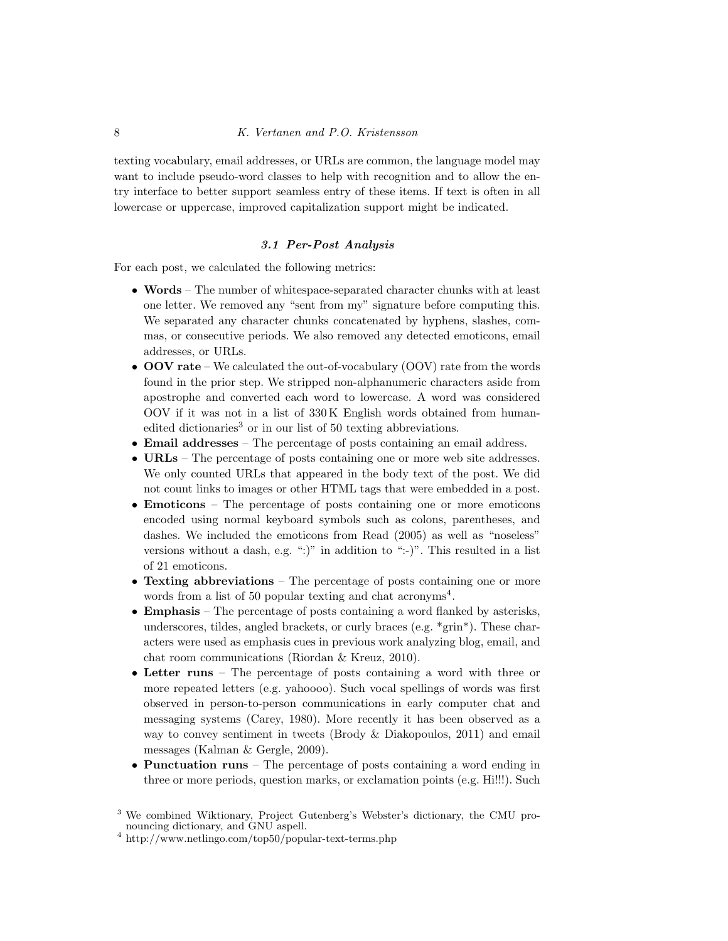texting vocabulary, email addresses, or URLs are common, the language model may want to include pseudo-word classes to help with recognition and to allow the entry interface to better support seamless entry of these items. If text is often in all lowercase or uppercase, improved capitalization support might be indicated.

### 3.1 Per-Post Analysis

For each post, we calculated the following metrics:

- Words The number of whitespace-separated character chunks with at least one letter. We removed any "sent from my" signature before computing this. We separated any character chunks concatenated by hyphens, slashes, commas, or consecutive periods. We also removed any detected emoticons, email addresses, or URLs.
- OOV rate We calculated the out-of-vocabulary (OOV) rate from the words found in the prior step. We stripped non-alphanumeric characters aside from apostrophe and converted each word to lowercase. A word was considered OOV if it was not in a list of 330 K English words obtained from human-edited dictionaries<sup>[3](#page-7-0)</sup> or in our list of 50 texting abbreviations.
- Email addresses The percentage of posts containing an email address.
- URLs The percentage of posts containing one or more web site addresses. We only counted URLs that appeared in the body text of the post. We did not count links to images or other HTML tags that were embedded in a post.
- Emoticons The percentage of posts containing one or more emoticons encoded using normal keyboard symbols such as colons, parentheses, and dashes. We included the emoticons from Read [\(2005\)](#page-38-8) as well as "noseless" versions without a dash, e.g. ":)" in addition to ":-)". This resulted in a list of 21 emoticons.
- Texting abbreviations The percentage of posts containing one or more words from a list of 50 popular texting and chat acronyms<sup>[4](#page-7-1)</sup>.
- Emphasis The percentage of posts containing a word flanked by asterisks, underscores, tildes, angled brackets, or curly braces (e.g. \*grin\*). These characters were used as emphasis cues in previous work analyzing blog, email, and chat room communications [\(Riordan](#page-39-7) & Kreuz, 2010).
- Letter runs The percentage of posts containing a word with three or more repeated letters (e.g. yahoooo). Such vocal spellings of words was first observed in person-to-person communications in early computer chat and messaging systems [\(Carey,](#page-36-8) 1980). More recently it has been observed as a way to convey sentiment in tweets (Brody & [Diakopoulos,](#page-36-3) 2011) and email messages [\(Kalman](#page-37-9) & Gergle, 2009).
- Punctuation runs The percentage of posts containing a word ending in three or more periods, question marks, or exclamation points (e.g. Hi!!!). Such

<span id="page-7-0"></span> $^3$  We combined Wiktionary, Project Gutenberg's Webster's dictionary, the CMU pronouncing dictionary, and GNU aspell.

<span id="page-7-1"></span> $^4$ <http://www.netlingo.com/top50/popular-text-terms.php>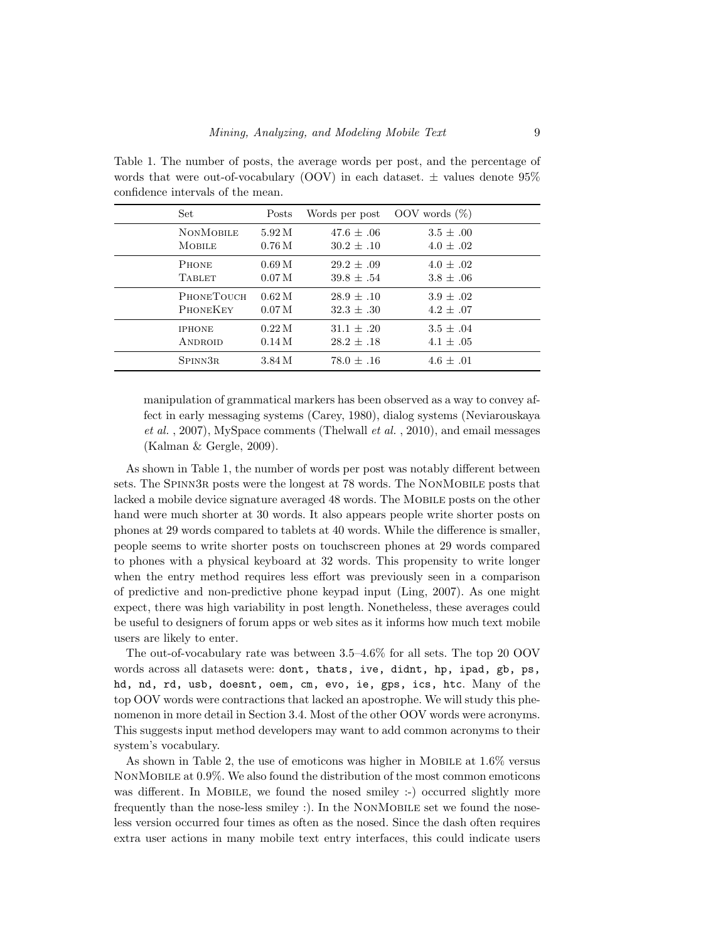<span id="page-8-0"></span>Table 1. The number of posts, the average words per post, and the percentage of words that were out-of-vocabulary (OOV) in each dataset.  $\pm$  values denote 95% confidence intervals of the mean.

| Set               | Posts             | Words per post | OOV words $(\%)$ |
|-------------------|-------------------|----------------|------------------|
| <b>NONMOBILE</b>  | 5.92M             | $47.6 + .06$   | $3.5 \pm .00$    |
| <b>MOBILE</b>     | 0.76M             | $30.2 + .10$   | $4.0 \pm .02$    |
| <b>PHONE</b>      | 0.69M             | $29.2 \pm .09$ | $4.0 + .02$      |
| <b>TABLET</b>     | 0.07 <sub>M</sub> | $39.8 \pm .54$ | $3.8 \pm .06$    |
| <b>PHONETOUCH</b> | 0.62M             | $28.9 + .10$   | $3.9 + .02$      |
| <b>PHONEKEY</b>   | 0.07 <sub>M</sub> | $32.3 + .30$   | $4.2 + .07$      |
| <b>IPHONE</b>     | 0.22M             | $31.1 + .20$   | $3.5 + .04$      |
| <b>ANDROID</b>    | 0.14M             | $28.2 \pm .18$ | $4.1 \pm .05$    |
| SPINN3R           | 3.84 M            | $78.0 \pm .16$ | $4.6 + .01$      |

manipulation of grammatical markers has been observed as a way to convey affect in early messaging systems [\(Carey,](#page-36-8) 1980), dialog systems [\(Neviarouskaya](#page-38-9) et al. , [2007\)](#page-38-9), MySpace comments [\(Thelwall](#page-39-8) et al. , 2010), and email messages [\(Kalman](#page-37-9) & Gergle, 2009).

As shown in Table [1,](#page-8-0) the number of words per post was notably different between sets. The Spinn3r posts were the longest at 78 words. The NonMobile posts that lacked a mobile device signature averaged 48 words. The MOBILE posts on the other hand were much shorter at 30 words. It also appears people write shorter posts on phones at 29 words compared to tablets at 40 words. While the difference is smaller, people seems to write shorter posts on touchscreen phones at 29 words compared to phones with a physical keyboard at 32 words. This propensity to write longer when the entry method requires less effort was previously seen in a comparison of predictive and non-predictive phone keypad input [\(Ling,](#page-38-10) 2007). As one might expect, there was high variability in post length. Nonetheless, these averages could be useful to designers of forum apps or web sites as it informs how much text mobile users are likely to enter.

The out-of-vocabulary rate was between 3.5–4.6% for all sets. The top 20 OOV words across all datasets were: dont, thats, ive, didnt, hp, ipad, gb, ps, hd, nd, rd, usb, doesnt, oem, cm, evo, ie, gps, ics, htc. Many of the top OOV words were contractions that lacked an apostrophe. We will study this phenomenon in more detail in Section [3.4.](#page-12-0) Most of the other OOV words were acronyms. This suggests input method developers may want to add common acronyms to their system's vocabulary.

As shown in Table [2,](#page-9-0) the use of emoticons was higher in MOBILE at  $1.6\%$  versus NonMobile at 0.9%. We also found the distribution of the most common emoticons was different. In MOBILE, we found the nosed smiley :-) occurred slightly more frequently than the nose-less smiley :). In the NONMOBILE set we found the noseless version occurred four times as often as the nosed. Since the dash often requires extra user actions in many mobile text entry interfaces, this could indicate users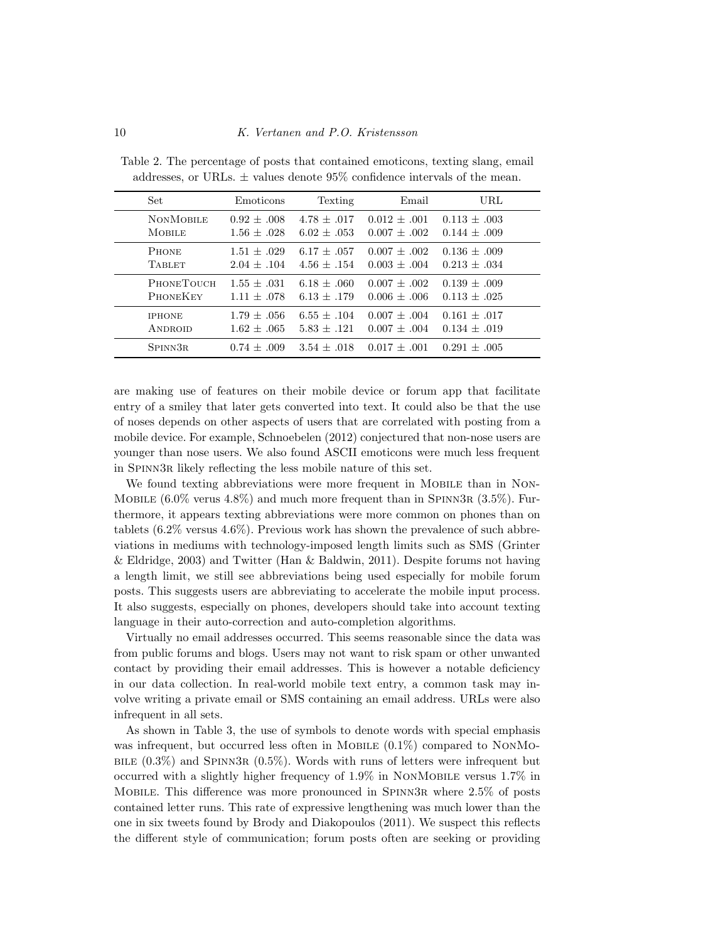| Set               | Emoticons       | Texting       | Email            | URL              |
|-------------------|-----------------|---------------|------------------|------------------|
| <b>NONMOBILE</b>  | $0.92 + .008$   | $4.78 + .017$ | $0.012 + .001$   | $0.113 + 0.03$   |
| <b>MOBILE</b>     | $1.56 \pm .028$ | $6.02 + .053$ | $0.007 \pm .002$ | $0.144 \pm .009$ |
| <b>PHONE</b>      | $1.51 + .029$   | $6.17 + .057$ | $0.007 + .002$   | $0.136 + 0.09$   |
| <b>TABLET</b>     | $2.04 + .104$   | $4.56 + .154$ | $0.003 \pm .004$ | $0.213 + 0.34$   |
| <b>PHONETOUCH</b> | $1.55 + .031$   | $6.18 + .060$ | $0.007 + 0.002$  | $0.139 \pm .009$ |
| <b>PHONEKEY</b>   | $1.11 + .078$   | $6.13 + .179$ | $0.006 \pm .006$ | $0.113 + 0.025$  |
| <b>IPHONE</b>     | $1.79 + .056$   | $6.55 + .104$ | $0.007 + .004$   | $0.161 + .017$   |
| <b>ANDROID</b>    | $1.62 + .065$   | $5.83 + .121$ | $0.007 \pm .004$ | $0.134 + .019$   |
| SPINN3R           | $0.74 + .009$   | $3.54 + .018$ | $0.017 + .001$   | $0.291 + 0.005$  |

<span id="page-9-0"></span>Table 2. The percentage of posts that contained emoticons, texting slang, email addresses, or URLs.  $\pm$  values denote 95% confidence intervals of the mean.

are making use of features on their mobile device or forum app that facilitate entry of a smiley that later gets converted into text. It could also be that the use of noses depends on other aspects of users that are correlated with posting from a mobile device. For example, Schnoebelen [\(2012\)](#page-39-9) conjectured that non-nose users are younger than nose users. We also found ASCII emoticons were much less frequent in Spinn3r likely reflecting the less mobile nature of this set.

We found texting abbreviations were more frequent in MOBILE than in NON-MOBILE  $(6.0\%$  verus  $4.8\%)$  and much more frequent than in SPINN3R  $(3.5\%)$ . Furthermore, it appears texting abbreviations were more common on phones than on tablets (6.2% versus 4.6%). Previous work has shown the prevalence of such abbreviations in mediums with technology-imposed length limits such as SMS [\(Grinter](#page-37-2) & [Eldridge,](#page-37-2) 2003) and Twitter (Han & [Baldwin,](#page-37-10) 2011). Despite forums not having a length limit, we still see abbreviations being used especially for mobile forum posts. This suggests users are abbreviating to accelerate the mobile input process. It also suggests, especially on phones, developers should take into account texting language in their auto-correction and auto-completion algorithms.

Virtually no email addresses occurred. This seems reasonable since the data was from public forums and blogs. Users may not want to risk spam or other unwanted contact by providing their email addresses. This is however a notable deficiency in our data collection. In real-world mobile text entry, a common task may involve writing a private email or SMS containing an email address. URLs were also infrequent in all sets.

As shown in Table [3,](#page-10-0) the use of symbols to denote words with special emphasis was infrequent, but occurred less often in MOBILE  $(0.1\%)$  compared to NONMo-BILE  $(0.3\%)$  and SPINN3R  $(0.5\%)$ . Words with runs of letters were infrequent but occurred with a slightly higher frequency of 1.9% in NonMobile versus 1.7% in Mobile. This difference was more pronounced in Spinn3r where 2.5% of posts contained letter runs. This rate of expressive lengthening was much lower than the one in six tweets found by Brody and Diakopoulos [\(2011\)](#page-36-3). We suspect this reflects the different style of communication; forum posts often are seeking or providing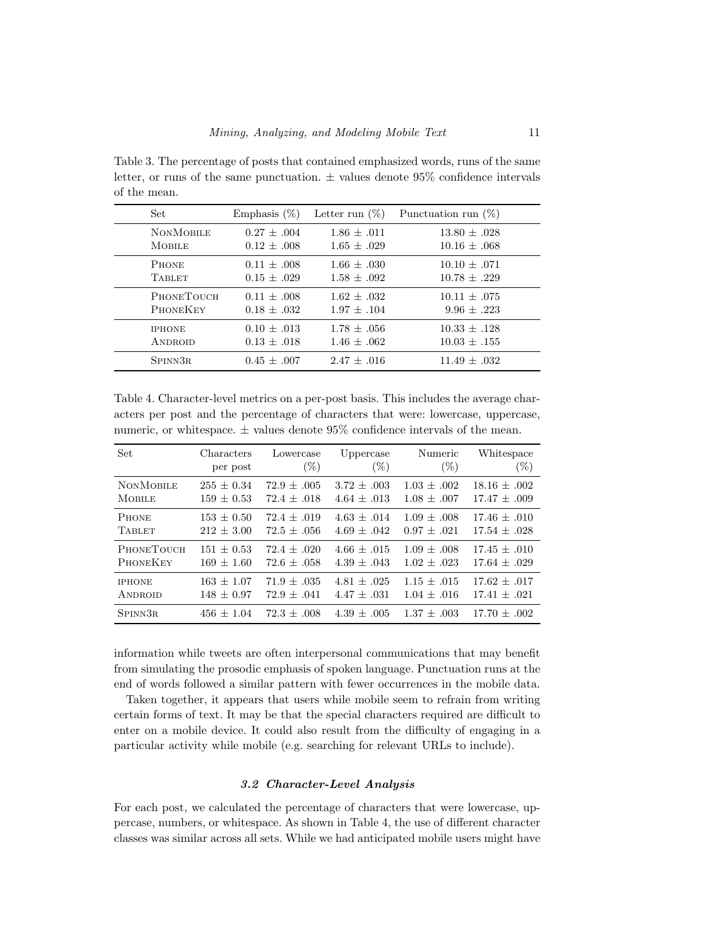<span id="page-10-0"></span>Table 3. The percentage of posts that contained emphasized words, runs of the same letter, or runs of the same punctuation.  $\pm$  values denote 95% confidence intervals of the mean.

| Set               | Emphasis $(\%)$ | Letter run $(\%)$ | Punctuation run $(\%)$ |
|-------------------|-----------------|-------------------|------------------------|
| <b>NONMOBILE</b>  | $0.27 \pm .004$ | $1.86 + .011$     | $13.80 \pm .028$       |
| <b>MOBILE</b>     | $0.12 \pm .008$ | $1.65 \pm .029$   | $10.16 \pm .068$       |
| <b>PHONE</b>      | $0.11 + .008$   | $1.66 + .030$     | $10.10 \pm .071$       |
| <b>TABLET</b>     | $0.15 \pm .029$ | $1.58 \pm .092$   | $10.78 \pm .229$       |
| <b>PHONETOUCH</b> | $0.11 \pm .008$ | $1.62 + .032$     | $10.11 + .075$         |
| <b>PHONEKEY</b>   | $0.18 + .032$   | $1.97 \pm .104$   | $9.96 \pm .223$        |
| <b>IPHONE</b>     | $0.10 + .013$   | $1.78 \pm .056$   | $10.33 + .128$         |
| <b>ANDROID</b>    | $0.13 \pm .018$ | $1.46 \pm .062$   | $10.03 \pm .155$       |
| SPINN3R           | $0.45 + .007$   | $2.47 + .016$     | $11.49 + .032$         |

<span id="page-10-1"></span>Table 4. Character-level metrics on a per-post basis. This includes the average characters per post and the percentage of characters that were: lowercase, uppercase, numeric, or whitespace.  $\pm$  values denote 95% confidence intervals of the mean.

| Set               | Characters     | Lowercase       | Uppercase       | Numeric         | Whitespace       |
|-------------------|----------------|-----------------|-----------------|-----------------|------------------|
|                   | per post       | $(\%)$          | $(\%)$          | $(\%)$          | $(\%)$           |
| <b>NONMOBILE</b>  | $255 \pm 0.34$ | $72.9 \pm .005$ | $3.72 \pm .003$ | $1.03 \pm .002$ | $18.16 \pm .002$ |
| <b>MOBILE</b>     | $159 \pm 0.53$ | $72.4 + .018$   | $4.64 + .013$   | $1.08 \pm .007$ | $17.47 \pm .009$ |
| <b>PHONE</b>      | $153 \pm 0.50$ | $72.4 \pm .019$ | $4.63 \pm .014$ | $1.09 + .008$   | $17.46 \pm .010$ |
| <b>TABLET</b>     | $212 \pm 3.00$ | $72.5 + .056$   | 4.69 $\pm$ .042 | $0.97 \pm .021$ | $17.54 \pm .028$ |
| <b>PHONETOUCH</b> | $151 \pm 0.53$ | $72.4 + .020$   | $4.66 + .015$   | $1.09 \pm .008$ | $17.45 + .010$   |
| PHONEKEY          | $169 \pm 1.60$ | $72.6 + .058$   | $4.39 + .043$   | $1.02 + .023$   | $17.64 + .029$   |
| <b>IPHONE</b>     | $163 \pm 1.07$ | $71.9 + .035$   | $4.81 + .025$   | $1.15 + .015$   | $17.62 + .017$   |
| <b>ANDROID</b>    | $148 \pm 0.97$ | $72.9 + .041$   | $4.47 \pm .031$ | $1.04 + .016$   | $17.41 \pm .021$ |
| SPINN3R           | $456 \pm 1.04$ | $72.3 + .008$   | $4.39 + .005$   | $1.37 + .003$   | $17.70 + .002$   |

information while tweets are often interpersonal communications that may benefit from simulating the prosodic emphasis of spoken language. Punctuation runs at the end of words followed a similar pattern with fewer occurrences in the mobile data.

Taken together, it appears that users while mobile seem to refrain from writing certain forms of text. It may be that the special characters required are difficult to enter on a mobile device. It could also result from the difficulty of engaging in a particular activity while mobile (e.g. searching for relevant URLs to include).

### 3.2 Character-Level Analysis

For each post, we calculated the percentage of characters that were lowercase, uppercase, numbers, or whitespace. As shown in Table [4,](#page-10-1) the use of different character classes was similar across all sets. While we had anticipated mobile users might have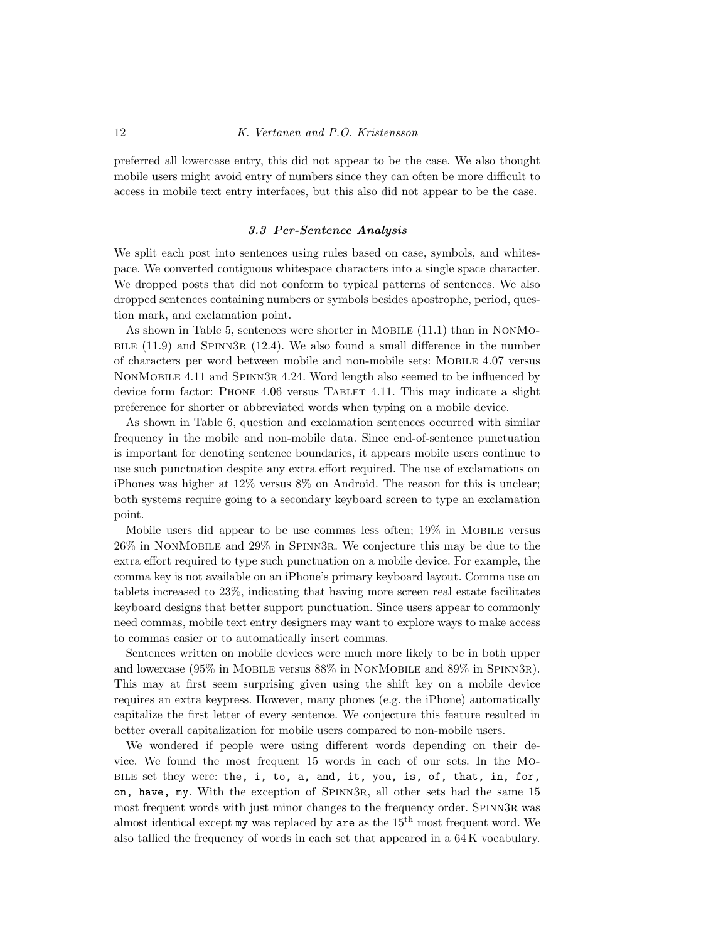preferred all lowercase entry, this did not appear to be the case. We also thought mobile users might avoid entry of numbers since they can often be more difficult to access in mobile text entry interfaces, but this also did not appear to be the case.

### 3.3 Per-Sentence Analysis

We split each post into sentences using rules based on case, symbols, and whitespace. We converted contiguous whitespace characters into a single space character. We dropped posts that did not conform to typical patterns of sentences. We also dropped sentences containing numbers or symbols besides apostrophe, period, question mark, and exclamation point.

As shown in Table [5,](#page-12-1) sentences were shorter in Mobile (11.1) than in NonMo-BILE  $(11.9)$  and SPINN3R  $(12.4)$ . We also found a small difference in the number of characters per word between mobile and non-mobile sets: Mobile 4.07 versus NonMobile 4.11 and Spinn3r 4.24. Word length also seemed to be influenced by device form factor: PHONE 4.06 versus TABLET 4.11. This may indicate a slight preference for shorter or abbreviated words when typing on a mobile device.

As shown in Table [6,](#page-12-2) question and exclamation sentences occurred with similar frequency in the mobile and non-mobile data. Since end-of-sentence punctuation is important for denoting sentence boundaries, it appears mobile users continue to use such punctuation despite any extra effort required. The use of exclamations on iPhones was higher at 12% versus 8% on Android. The reason for this is unclear; both systems require going to a secondary keyboard screen to type an exclamation point.

Mobile users did appear to be use commas less often; 19% in Mobile versus 26% in NonMobile and 29% in Spinn3r. We conjecture this may be due to the extra effort required to type such punctuation on a mobile device. For example, the comma key is not available on an iPhone's primary keyboard layout. Comma use on tablets increased to 23%, indicating that having more screen real estate facilitates keyboard designs that better support punctuation. Since users appear to commonly need commas, mobile text entry designers may want to explore ways to make access to commas easier or to automatically insert commas.

Sentences written on mobile devices were much more likely to be in both upper and lowercase (95% in Mobile versus 88% in NonMobile and 89% in Spinn3r). This may at first seem surprising given using the shift key on a mobile device requires an extra keypress. However, many phones (e.g. the iPhone) automatically capitalize the first letter of every sentence. We conjecture this feature resulted in better overall capitalization for mobile users compared to non-mobile users.

We wondered if people were using different words depending on their device. We found the most frequent 15 words in each of our sets. In the Mobile set they were: the, i, to, a, and, it, you, is, of, that, in, for, on, have, my. With the exception of Spinn3r, all other sets had the same 15 most frequent words with just minor changes to the frequency order. Spinn3r was almost identical except  $my$  was replaced by  $\text{are as the } 15^{\text{th}}$  most frequent word. We also tallied the frequency of words in each set that appeared in a 64 K vocabulary.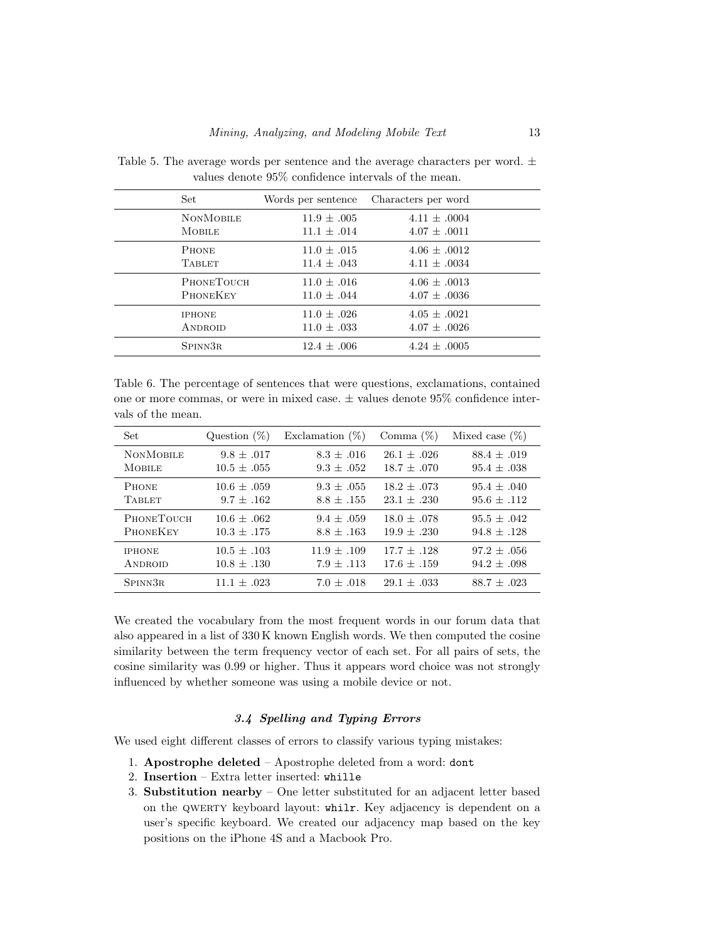| Set.              | Words per sentence | Characters per word |  |
|-------------------|--------------------|---------------------|--|
| <b>NONMOBILE</b>  | $11.9 \pm .005$    | $4.11 + .0004$      |  |
| <b>MOBILE</b>     | $11.1 + .014$      | $4.07 + .0011$      |  |
| <b>PHONE</b>      | $11.0 + .015$      | $4.06 + .0012$      |  |
| <b>TABLET</b>     | $11.4 \pm .043$    | $4.11 \pm .0034$    |  |
| <b>PHONETOUCH</b> | $11.0 + .016$      | $4.06 + .0013$      |  |
| PHONEKEY          | $11.0 \pm .044$    | $4.07 \pm .0036$    |  |
| <b>IPHONE</b>     | $11.0 + .026$      | $4.05 + .0021$      |  |
| <b>ANDROID</b>    | $11.0 \pm .033$    | $4.07 \pm .0026$    |  |
| SPINN3R           | $12.4 + .006$      | $4.24 + 0.005$      |  |

<span id="page-12-1"></span>Table 5. The average words per sentence and the average characters per word.  $\pm$ values denote 95% confidence intervals of the mean.

<span id="page-12-2"></span>Table 6. The percentage of sentences that were questions, exclamations, contained one or more commas, or were in mixed case.  $\pm$  values denote 95% confidence intervals of the mean.

| Set                  | Question $(\%)$ | Exclamation $(\%)$ | Comma $(\%)$    | Mixed case $(\%)$ |
|----------------------|-----------------|--------------------|-----------------|-------------------|
| <b>NONMOBILE</b>     | $9.8 \pm .017$  | $8.3 + .016$       | $26.1 + .026$   | $88.4 \pm .019$   |
| <b>MOBILE</b>        | $10.5 \pm .055$ | $9.3 + .052$       | $18.7 \pm .070$ | $95.4 \pm .038$   |
| <b>PHONE</b>         | $10.6 + .059$   | $9.3 \pm .055$     | $18.2 + .073$   | $95.4 + .040$     |
| <b>TABLET</b>        | $9.7 \pm .162$  | $8.8 \pm .155$     | $23.1 \pm .230$ | $95.6 \pm .112$   |
| PHONETOUCH           | $10.6 + .062$   | $9.4 + .059$       | $18.0 + .078$   | $95.5 + .042$     |
| <b>PHONEKEY</b>      | $10.3 + .175$   | $8.8 + .163$       | $19.9 + .230$   | $94.8 + .128$     |
| <b>IPHONE</b>        | $10.5 \pm .103$ | $11.9 + .109$      | $17.7 \pm .128$ | $97.2 \pm .056$   |
| ANDROID              | $10.8 + .130$   | $7.9 + .113$       | $17.6 + .159$   | $94.2 \pm .098$   |
| SPINN <sub>3</sub> R | $11.1 + .023$   | $7.0 + .018$       | $29.1 + .033$   | $88.7 + .023$     |

We created the vocabulary from the most frequent words in our forum data that also appeared in a list of 330 K known English words. We then computed the cosine similarity between the term frequency vector of each set. For all pairs of sets, the cosine similarity was 0.99 or higher. Thus it appears word choice was not strongly influenced by whether someone was using a mobile device or not.

### 3.4 Spelling and Typing Errors

<span id="page-12-0"></span>We used eight different classes of errors to classify various typing mistakes:

- 1. Apostrophe deleted Apostrophe deleted from a word: dont
- 2. Insertion Extra letter inserted: whille
- 3. Substitution nearby One letter substituted for an adjacent letter based on the QWERTY keyboard layout: whilr. Key adjacency is dependent on a user's specific keyboard. We created our adjacency map based on the key positions on the iPhone 4S and a Macbook Pro.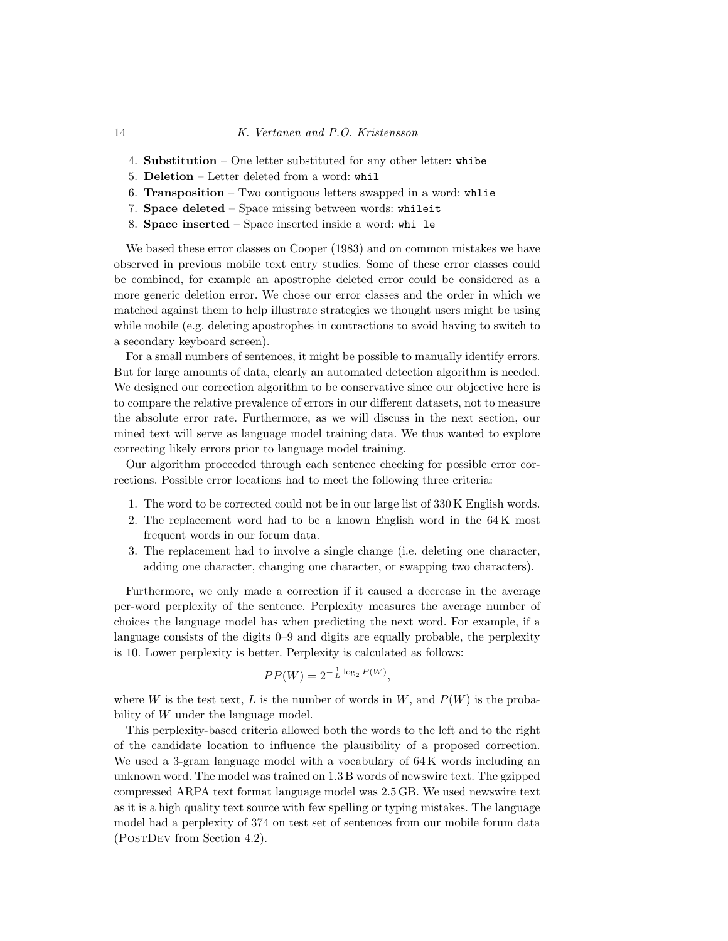- 4. Substitution One letter substituted for any other letter: whibe
- 5. Deletion Letter deleted from a word: whil
- 6. Transposition  $-$  Two contiguous letters swapped in a word: whlie
- 7. Space deleted Space missing between words: whileit
- 8. Space inserted Space inserted inside a word: whi le

We based these error classes on Cooper [\(1983\)](#page-36-9) and on common mistakes we have observed in previous mobile text entry studies. Some of these error classes could be combined, for example an apostrophe deleted error could be considered as a more generic deletion error. We chose our error classes and the order in which we matched against them to help illustrate strategies we thought users might be using while mobile (e.g. deleting apostrophes in contractions to avoid having to switch to a secondary keyboard screen).

For a small numbers of sentences, it might be possible to manually identify errors. But for large amounts of data, clearly an automated detection algorithm is needed. We designed our correction algorithm to be conservative since our objective here is to compare the relative prevalence of errors in our different datasets, not to measure the absolute error rate. Furthermore, as we will discuss in the next section, our mined text will serve as language model training data. We thus wanted to explore correcting likely errors prior to language model training.

Our algorithm proceeded through each sentence checking for possible error corrections. Possible error locations had to meet the following three criteria:

- 1. The word to be corrected could not be in our large list of 330 K English words.
- 2. The replacement word had to be a known English word in the 64 K most frequent words in our forum data.
- 3. The replacement had to involve a single change (i.e. deleting one character, adding one character, changing one character, or swapping two characters).

Furthermore, we only made a correction if it caused a decrease in the average per-word perplexity of the sentence. Perplexity measures the average number of choices the language model has when predicting the next word. For example, if a language consists of the digits 0–9 and digits are equally probable, the perplexity is 10. Lower perplexity is better. Perplexity is calculated as follows:

$$
PP(W) = 2^{-\frac{1}{L}\log_2 P(W)},
$$

where W is the test text, L is the number of words in  $W$ , and  $P(W)$  is the probability of W under the language model.

This perplexity-based criteria allowed both the words to the left and to the right of the candidate location to influence the plausibility of a proposed correction. We used a 3-gram language model with a vocabulary of 64K words including an unknown word. The model was trained on 1.3 B words of newswire text. The gzipped compressed ARPA text format language model was 2.5 GB. We used newswire text as it is a high quality text source with few spelling or typing mistakes. The language model had a perplexity of 374 on test set of sentences from our mobile forum data (PostDev from Section [4.2\)](#page-17-0).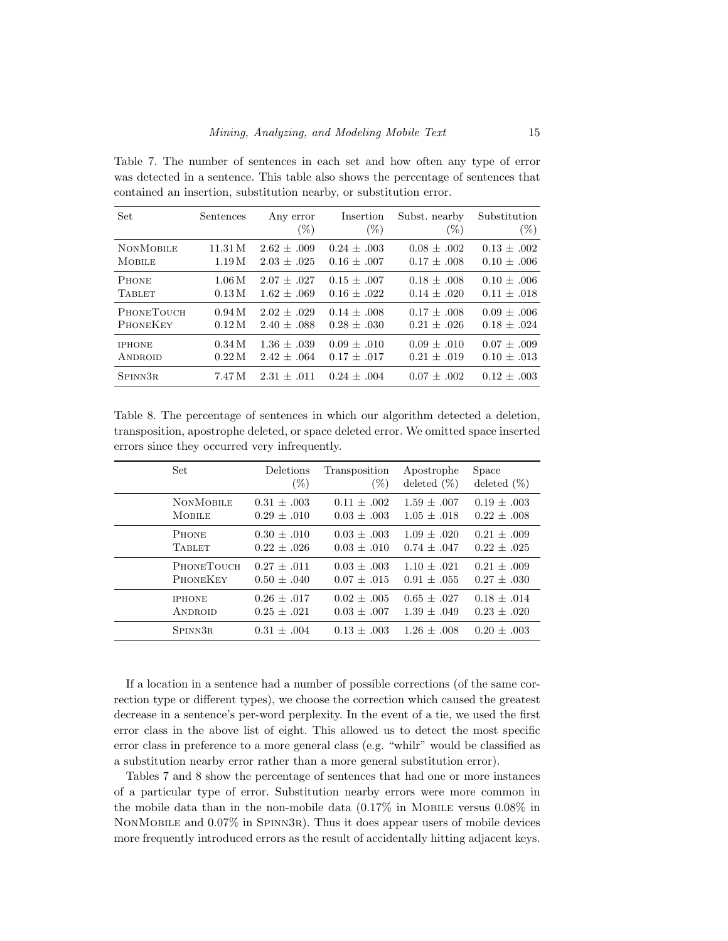<span id="page-14-0"></span>Table 7. The number of sentences in each set and how often any type of error was detected in a sentence. This table also shows the percentage of sentences that contained an insertion, substitution nearby, or substitution error.

| Set               | Sentences | Any error<br>$(\%)$ | Insertion<br>$(\%)$ | Subst. nearby<br>$(\%)$ | Substitution<br>$(\%)$ |
|-------------------|-----------|---------------------|---------------------|-------------------------|------------------------|
| <b>NONMOBILE</b>  | 11.31 M   | $2.62 \pm .009$     | $0.24 + 0.03$       | $0.08 \pm .002$         | $0.13 + .002$          |
| <b>MOBILE</b>     | 1.19M     | $2.03 + .025$       | $0.16 \pm .007$     | $0.17 \pm .008$         | $0.10 \pm .006$        |
| <b>PHONE</b>      | 1.06M     | $2.07 + .027$       | $0.15 + .007$       | $0.18 \pm .008$         | $0.10 \pm .006$        |
| <b>TABLET</b>     | 0.13M     | $1.62 \pm .069$     | $0.16 \pm .022$     | $0.14 \pm .020$         | $0.11 \pm .018$        |
| <b>PHONETOUCH</b> | 0.94M     | $2.02 + .029$       | $0.14 + 0.08$       | $0.17 \pm .008$         | $0.09 \pm .006$        |
| <b>PHONEKEY</b>   | 0.12M     | $2.40 \pm .088$     | $0.28 \pm .030$     | $0.21 \pm .026$         | $0.18 \pm .024$        |
| <b>IPHONE</b>     | 0.34M     | $1.36 \pm .039$     | $0.09 \pm .010$     | $0.09 \pm .010$         | $0.07 \pm .009$        |
| ANDROID           | 0.22M     | $2.42 \pm .064$     | $0.17 \pm .017$     | $0.21 \pm .019$         | $0.10 \pm .013$        |
| SPINN3R           | 7.47 M    | $2.31 + .011$       | $0.24 + 0.04$       | $0.07 + .002$           | $0.12 \pm .003$        |

<span id="page-14-1"></span>Table 8. The percentage of sentences in which our algorithm detected a deletion, transposition, apostrophe deleted, or space deleted error. We omitted space inserted errors since they occurred very infrequently.

| Set                 | Deletions       | Transposition   | Apostrophe      | Space           |
|---------------------|-----------------|-----------------|-----------------|-----------------|
|                     | $(\%)$          | $(\%)$          | deleted $(\%)$  | deleted $(\%)$  |
| <b>NONMOBILE</b>    | $0.31 + .003$   | $0.11 + .002$   | $1.59 + .007$   | $0.19 \pm .003$ |
| <b>MOBILE</b>       | $0.29 + .010$   | $0.03 + 0.03$   | $1.05 + .018$   | $0.22 + 0.08$   |
| <b>PHONE</b>        | $0.30 + .010$   | $0.03 + 0.03$   | $1.09 + .020$   | $0.21 + .009$   |
| <b>TABLET</b>       | $0.22 \pm .026$ | $0.03 \pm .010$ | $0.74 + 0.047$  | $0.22 \pm .025$ |
| <b>PHONETOUCH</b>   | $0.27 + .011$   | $0.03 + 0.03$   | $1.10 + .021$   | $0.21 + .009$   |
| <b>PHONEKEY</b>     | $0.50 \pm .040$ | $0.07 + .015$   | $0.91 + .055$   | $0.27 \pm .030$ |
| <b>IPHONE</b>       | $0.26 + .017$   | $0.02 + 0.005$  | $0.65 + .027$   | $0.18 + .014$   |
| ANDROID             | $0.25 \pm .021$ | $0.03 \pm .007$ | $1.39 \pm .049$ | $0.23 \pm .020$ |
| SPINN <sub>3R</sub> | $0.31 + .004$   | $0.13 + 0.03$   | $1.26 + .008$   | $0.20 \pm .003$ |

If a location in a sentence had a number of possible corrections (of the same correction type or different types), we choose the correction which caused the greatest decrease in a sentence's per-word perplexity. In the event of a tie, we used the first error class in the above list of eight. This allowed us to detect the most specific error class in preference to a more general class (e.g. "whilr" would be classified as a substitution nearby error rather than a more general substitution error).

Tables [7](#page-14-0) and [8](#page-14-1) show the percentage of sentences that had one or more instances of a particular type of error. Substitution nearby errors were more common in the mobile data than in the non-mobile data  $(0.17\%$  in Mobile versus  $0.08\%$  in NonMobile and 0.07% in Spinn3r). Thus it does appear users of mobile devices more frequently introduced errors as the result of accidentally hitting adjacent keys.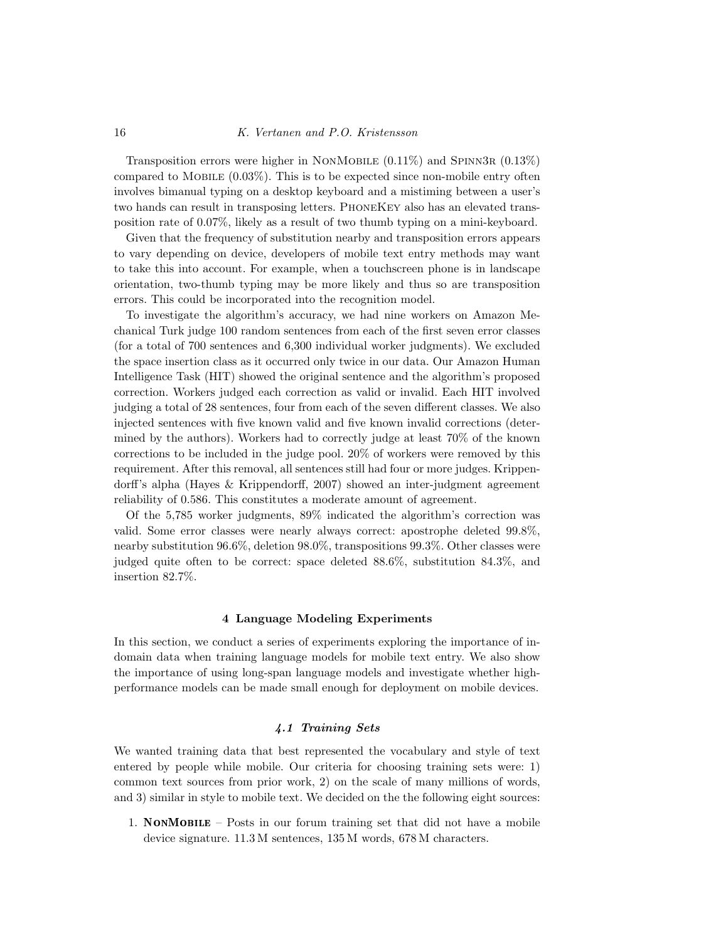Transposition errors were higher in NONMOBILE  $(0.11\%)$  and SPINN3R  $(0.13\%)$ compared to MOBILE  $(0.03\%)$ . This is to be expected since non-mobile entry often involves bimanual typing on a desktop keyboard and a mistiming between a user's two hands can result in transposing letters. PhoneKey also has an elevated transposition rate of 0.07%, likely as a result of two thumb typing on a mini-keyboard.

Given that the frequency of substitution nearby and transposition errors appears to vary depending on device, developers of mobile text entry methods may want to take this into account. For example, when a touchscreen phone is in landscape orientation, two-thumb typing may be more likely and thus so are transposition errors. This could be incorporated into the recognition model.

To investigate the algorithm's accuracy, we had nine workers on Amazon Mechanical Turk judge 100 random sentences from each of the first seven error classes (for a total of 700 sentences and 6,300 individual worker judgments). We excluded the space insertion class as it occurred only twice in our data. Our Amazon Human Intelligence Task (HIT) showed the original sentence and the algorithm's proposed correction. Workers judged each correction as valid or invalid. Each HIT involved judging a total of 28 sentences, four from each of the seven different classes. We also injected sentences with five known valid and five known invalid corrections (determined by the authors). Workers had to correctly judge at least 70% of the known corrections to be included in the judge pool. 20% of workers were removed by this requirement. After this removal, all sentences still had four or more judges. Krippendorff's alpha (Hayes & [Krippendorff,](#page-37-11) 2007) showed an inter-judgment agreement reliability of 0.586. This constitutes a moderate amount of agreement.

Of the 5,785 worker judgments, 89% indicated the algorithm's correction was valid. Some error classes were nearly always correct: apostrophe deleted 99.8%, nearby substitution 96.6%, deletion 98.0%, transpositions 99.3%. Other classes were judged quite often to be correct: space deleted 88.6%, substitution 84.3%, and insertion 82.7%.

### 4 Language Modeling Experiments

<span id="page-15-0"></span>In this section, we conduct a series of experiments exploring the importance of indomain data when training language models for mobile text entry. We also show the importance of using long-span language models and investigate whether highperformance models can be made small enough for deployment on mobile devices.

### 4.1 Training Sets

We wanted training data that best represented the vocabulary and style of text entered by people while mobile. Our criteria for choosing training sets were: 1) common text sources from prior work, 2) on the scale of many millions of words, and 3) similar in style to mobile text. We decided on the the following eight sources:

1. NonMobile – Posts in our forum training set that did not have a mobile device signature. 11.3 M sentences, 135 M words, 678 M characters.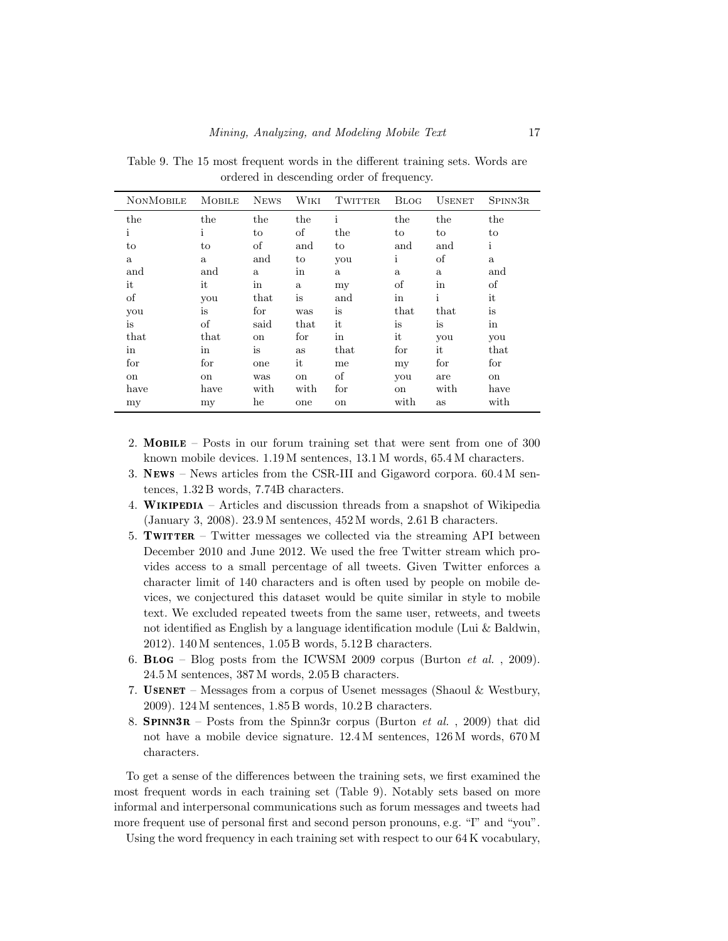| <b>NONMOBILE</b> | <b>MOBILE</b> | <b>NEWS</b>  | WIKI         | <b>TWITTER</b> | <b>BLOG</b> | <b>USENET</b> | SPINN3R      |
|------------------|---------------|--------------|--------------|----------------|-------------|---------------|--------------|
| the              | the           | the          | the          | $\mathbf{i}$   | the         | the           | the          |
| i                | i             | to           | οf           | the            | to          | to            | to           |
| to               | to            | οf           | and          | to             | and         | and           | $\mathbf{i}$ |
| $\mathbf{a}$     | a             | and          | to           | you            | i           | οf            | $\rm{a}$     |
| and              | and           | $\mathbf{a}$ | in           | $\mathbf{a}$   | a           | a             | and          |
| it               | it            | in           | $\mathbf{a}$ | my             | οf          | in            | οf           |
| of               | you           | that         | is           | and            | in          | i             | it           |
| you              | is            | for          | was          | is             | that        | that          | is           |
| is               | οf            | said         | that         | it             | is          | is            | in           |
| that             | that          | on           | for          | in             | it          | you           | you          |
| in               | in            | is           | as           | that           | for         | it            | that         |
| for              | for           | one          | it           | me             | my          | for           | for          |
| on               | on            | was          | on           | οf             | you         | are           | on           |
| have             | have          | with         | with         | for            | on          | with          | have         |
| my               | my            | he           | one          | on             | with        | as            | with         |

<span id="page-16-0"></span>Table 9. The 15 most frequent words in the different training sets. Words are ordered in descending order of frequency.

- 2. Mobile Posts in our forum training set that were sent from one of 300 known mobile devices. 1.19 M sentences, 13.1 M words, 65.4 M characters.
- 3. News News articles from the CSR-III and Gigaword corpora. 60.4 M sentences, 1.32 B words, 7.74B characters.
- 4. Wikipedia Articles and discussion threads from a snapshot of Wikipedia (January 3, 2008). 23.9 M sentences, 452 M words, 2.61 B characters.
- 5. Twitter Twitter messages we collected via the streaming API between December 2010 and June 2012. We used the free Twitter stream which provides access to a small percentage of all tweets. Given Twitter enforces a character limit of 140 characters and is often used by people on mobile devices, we conjectured this dataset would be quite similar in style to mobile text. We excluded repeated tweets from the same user, retweets, and tweets not identified as English by a language identification module (Lui & [Baldwin,](#page-38-7) [2012\)](#page-38-7). 140 M sentences, 1.05 B words, 5.12 B characters.
- 6. BLOG Blog posts from the ICWSM 2009 corpus [\(Burton](#page-36-7)  $et \ al.$ , 2009). 24.5 M sentences, 387 M words, 2.05 B characters.
- 7. Usenet Messages from a corpus of Usenet messages (Shaoul & [Westbury,](#page-39-10) [2009\)](#page-39-10). 124 M sentences, 1.85 B words, 10.2 B characters.
- 8. **SPINN3R** Posts from the Spinn3r corpus [\(Burton](#page-36-7) *et al.*, 2009) that did not have a mobile device signature. 12.4 M sentences, 126 M words, 670 M characters.

To get a sense of the differences between the training sets, we first examined the most frequent words in each training set (Table [9\)](#page-16-0). Notably sets based on more informal and interpersonal communications such as forum messages and tweets had more frequent use of personal first and second person pronouns, e.g. "I" and "you".

Using the word frequency in each training set with respect to our 64 K vocabulary,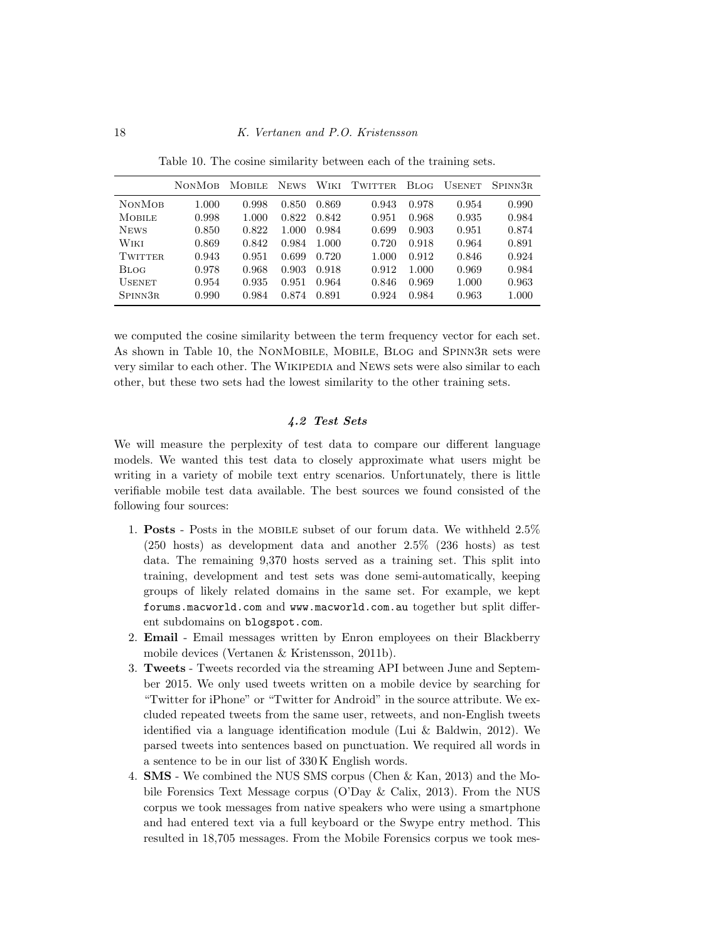|               | <b>NONMOB</b> | <b>MOBILE</b> | <b>NEWS</b> | Wiki  | <b>TWITTER</b> | Blog- | <b>USENET</b> | SPINN3R |
|---------------|---------------|---------------|-------------|-------|----------------|-------|---------------|---------|
| <b>NONMOB</b> | 1.000         | 0.998         | 0.850       | 0.869 | 0.943          | 0.978 | 0.954         | 0.990   |
| <b>MOBILE</b> | 0.998         | 1.000         | 0.822       | 0.842 | 0.951          | 0.968 | 0.935         | 0.984   |
| <b>NEWS</b>   | 0.850         | 0.822         | 1.000       | 0.984 | 0.699          | 0.903 | 0.951         | 0.874   |
| Wiki          | 0.869         | 0.842         | 0.984       | 1.000 | 0.720          | 0.918 | 0.964         | 0.891   |
| TWITTER.      | 0.943         | 0.951         | 0.699       | 0.720 | 1.000          | 0.912 | 0.846         | 0.924   |
| Blog          | 0.978         | 0.968         | 0.903       | 0.918 | 0.912          | 1.000 | 0.969         | 0.984   |
| <b>USENET</b> | 0.954         | 0.935         | 0.951       | 0.964 | 0.846          | 0.969 | 1.000         | 0.963   |
| SPINN3R       | 0.990         | 0.984         | 0.874       | 0.891 | 0.924          | 0.984 | 0.963         | 1.000   |

<span id="page-17-1"></span>Table 10. The cosine similarity between each of the training sets.

we computed the cosine similarity between the term frequency vector for each set. As shown in Table [10,](#page-17-1) the NonMobile, Mobile, Blog and Spinn3r sets were very similar to each other. The WIKIPEDIA and NEWS sets were also similar to each other, but these two sets had the lowest similarity to the other training sets.

### 4.2 Test Sets

<span id="page-17-0"></span>We will measure the perplexity of test data to compare our different language models. We wanted this test data to closely approximate what users might be writing in a variety of mobile text entry scenarios. Unfortunately, there is little verifiable mobile test data available. The best sources we found consisted of the following four sources:

- 1. Posts Posts in the mobile subset of our forum data. We withheld 2.5% (250 hosts) as development data and another 2.5% (236 hosts) as test data. The remaining 9,370 hosts served as a training set. This split into training, development and test sets was done semi-automatically, keeping groups of likely related domains in the same set. For example, we kept [forums.macworld.com](https://forums.macworld.com) and <www.macworld.com.au> together but split different subdomains on [blogspot.com](https://blogspot.com).
- 2. Email Email messages written by Enron employees on their Blackberry mobile devices (Vertanen & [Kristensson,](#page-39-0) 2011b).
- 3. Tweets Tweets recorded via the streaming API between June and September 2015. We only used tweets written on a mobile device by searching for "Twitter for iPhone" or "Twitter for Android" in the source attribute. We excluded repeated tweets from the same user, retweets, and non-English tweets identified via a language identification module (Lui & [Baldwin,](#page-38-7) 2012). We parsed tweets into sentences based on punctuation. We required all words in a sentence to be in our list of 330 K English words.
- 4. SMS We combined the NUS SMS corpus [\(Chen](#page-36-0) & Kan, 2013) and the Mobile Forensics Text Message corpus [\(O'Day](#page-38-11) & Calix, 2013). From the NUS corpus we took messages from native speakers who were using a smartphone and had entered text via a full keyboard or the Swype entry method. This resulted in 18,705 messages. From the Mobile Forensics corpus we took mes-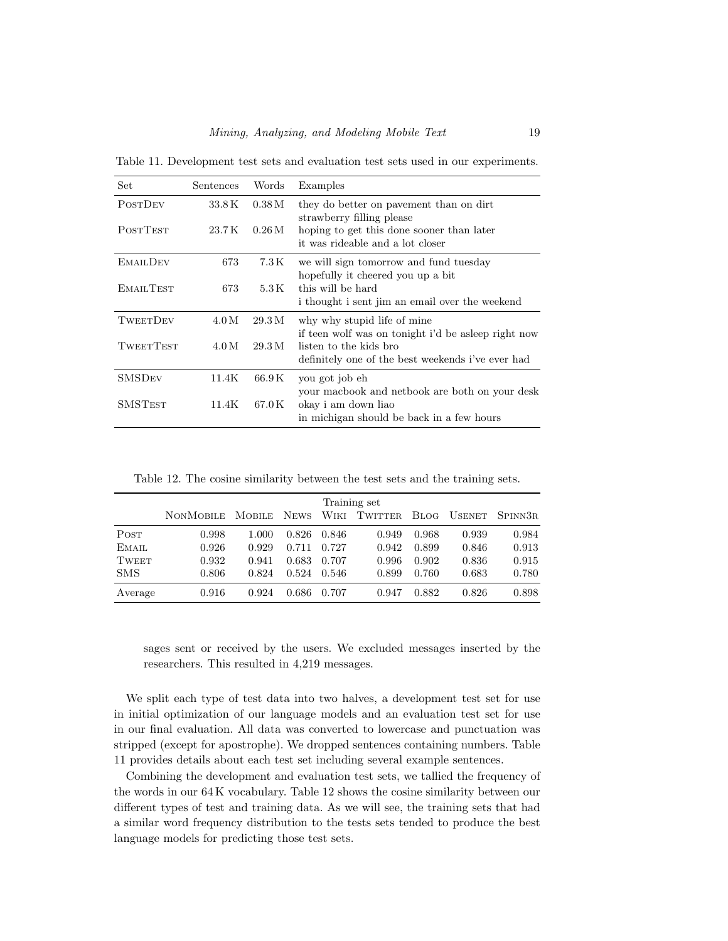<span id="page-18-0"></span>Table 11. Development test sets and evaluation test sets used in our experiments.

| Set              | Sentences | Words              | Examples                                                                                                           |
|------------------|-----------|--------------------|--------------------------------------------------------------------------------------------------------------------|
| <b>POSTDEV</b>   | 33.8K     | 0.38M              | they do better on payement than on dirt<br>strawberry filling please                                               |
| <b>POSTTEST</b>  | 23.7 K    | $0.26\,\mathrm{M}$ | hoping to get this done sooner than later<br>it was rideable and a lot closer                                      |
| <b>EMAILDEV</b>  | 673       | 7.3 K              | we will sign tomorrow and fund tuesday                                                                             |
| EMAILTEST        | 673       | 5.3 K              | hopefully it cheered you up a bit<br>this will be hard<br>i thought i sent jim an email over the weekend           |
| TWEETDEV         | 4.0 M     | 29.3M              | why why stupid life of mine<br>if teen wolf was on tonight i'd be asleep right now                                 |
| <b>TWEETTEST</b> | 4.0 M     | 29.3 M             | listen to the kids bro<br>definitely one of the best weekends i've ever had                                        |
| <b>SMSDEV</b>    | 11.4K     | 66.9 K             | you got job eh                                                                                                     |
| <b>SMSTEST</b>   | 11.4K     | 67.0 K             | your macbook and netbook are both on your desk<br>okay i am down liao<br>in michigan should be back in a few hours |

<span id="page-18-1"></span>Table 12. The cosine similarity between the test sets and the training sets.

|              | Training set     |               |             |       |                |             |               |         |  |  |
|--------------|------------------|---------------|-------------|-------|----------------|-------------|---------------|---------|--|--|
|              | <b>NONMOBILE</b> | <b>MOBILE</b> | <b>NEWS</b> | Wiki  | <b>TWITTER</b> | <b>BLOG</b> | <b>USENET</b> | SPINN3R |  |  |
| POST         | 0.998            | 1.000         | 0.826       | 0.846 | 0.949          | 0.968       | 0.939         | 0.984   |  |  |
| EMAIL        | 0.926            | 0.929         | 0.711       | 0.727 | 0.942          | 0.899       | 0.846         | 0.913   |  |  |
| <b>TWEET</b> | 0.932            | 0.941         | 0.683       | 0.707 | 0.996          | 0.902       | 0.836         | 0.915   |  |  |
| <b>SMS</b>   | 0.806            | 0.824         | 0.524       | 0.546 | 0.899          | 0.760       | 0.683         | 0.780   |  |  |
| Average      | 0.916            | 0.924         | 0.686       | 0.707 | 0.947          | 0.882       | 0.826         | 0.898   |  |  |

sages sent or received by the users. We excluded messages inserted by the researchers. This resulted in 4,219 messages.

We split each type of test data into two halves, a development test set for use in initial optimization of our language models and an evaluation test set for use in our final evaluation. All data was converted to lowercase and punctuation was stripped (except for apostrophe). We dropped sentences containing numbers. Table [11](#page-18-0) provides details about each test set including several example sentences.

Combining the development and evaluation test sets, we tallied the frequency of the words in our 64 K vocabulary. Table [12](#page-18-1) shows the cosine similarity between our different types of test and training data. As we will see, the training sets that had a similar word frequency distribution to the tests sets tended to produce the best language models for predicting those test sets.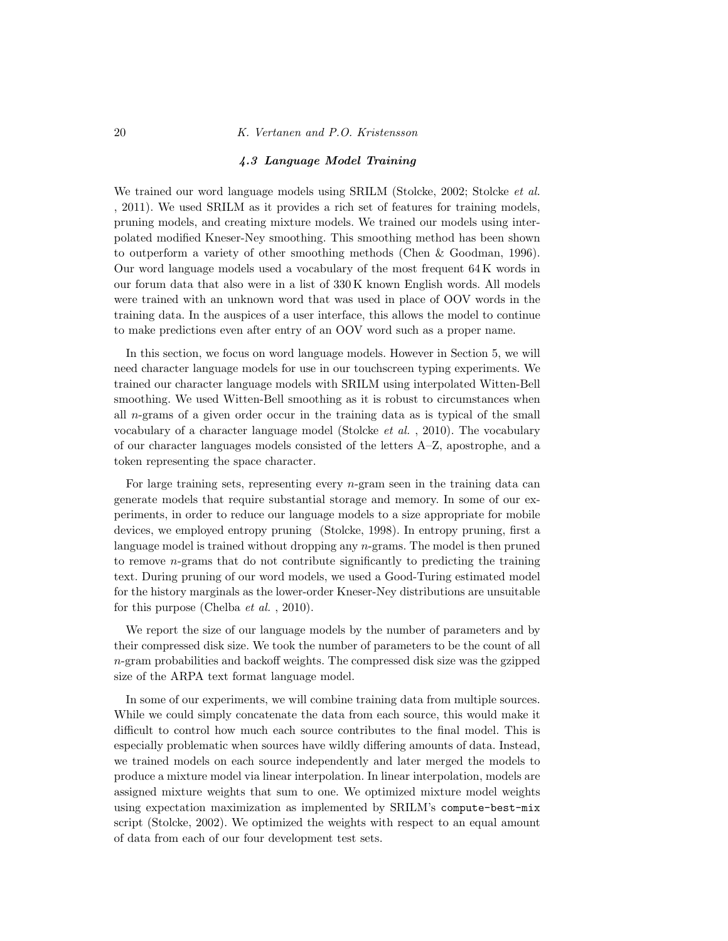#### 4.3 Language Model Training

We trained our word language models using SRILM [\(Stolcke,](#page-39-11) 2002; [Stolcke](#page-39-12) *et al.*) , [2011\)](#page-39-12). We used SRILM as it provides a rich set of features for training models, pruning models, and creating mixture models. We trained our models using interpolated modified Kneser-Ney smoothing. This smoothing method has been shown to outperform a variety of other smoothing methods (Chen & [Goodman,](#page-36-10) 1996). Our word language models used a vocabulary of the most frequent 64 K words in our forum data that also were in a list of 330 K known English words. All models were trained with an unknown word that was used in place of OOV words in the training data. In the auspices of a user interface, this allows the model to continue to make predictions even after entry of an OOV word such as a proper name.

In this section, we focus on word language models. However in Section [5,](#page-24-0) we will need character language models for use in our touchscreen typing experiments. We trained our character language models with SRILM using interpolated Witten-Bell smoothing. We used Witten-Bell smoothing as it is robust to circumstances when all  $n$ -grams of a given order occur in the training data as is typical of the small vocabulary of a character language model [\(Stolcke](#page-39-13)  $et \ al.$ , 2010). The vocabulary of our character languages models consisted of the letters A–Z, apostrophe, and a token representing the space character.

For large training sets, representing every  $n$ -gram seen in the training data can generate models that require substantial storage and memory. In some of our experiments, in order to reduce our language models to a size appropriate for mobile devices, we employed entropy pruning [\(Stolcke,](#page-39-14) 1998). In entropy pruning, first a language model is trained without dropping any n-grams. The model is then pruned to remove  $n$ -grams that do not contribute significantly to predicting the training text. During pruning of our word models, we used a Good-Turing estimated model for the history marginals as the lower-order Kneser-Ney distributions are unsuitable for this purpose [\(Chelba](#page-36-11) *et al.*, 2010).

We report the size of our language models by the number of parameters and by their compressed disk size. We took the number of parameters to be the count of all  $n$ -gram probabilities and backoff weights. The compressed disk size was the gzipped size of the ARPA text format language model.

In some of our experiments, we will combine training data from multiple sources. While we could simply concatenate the data from each source, this would make it difficult to control how much each source contributes to the final model. This is especially problematic when sources have wildly differing amounts of data. Instead, we trained models on each source independently and later merged the models to produce a mixture model via linear interpolation. In linear interpolation, models are assigned mixture weights that sum to one. We optimized mixture model weights using expectation maximization as implemented by SRILM's compute-best-mix script [\(Stolcke,](#page-39-11) 2002). We optimized the weights with respect to an equal amount of data from each of our four development test sets.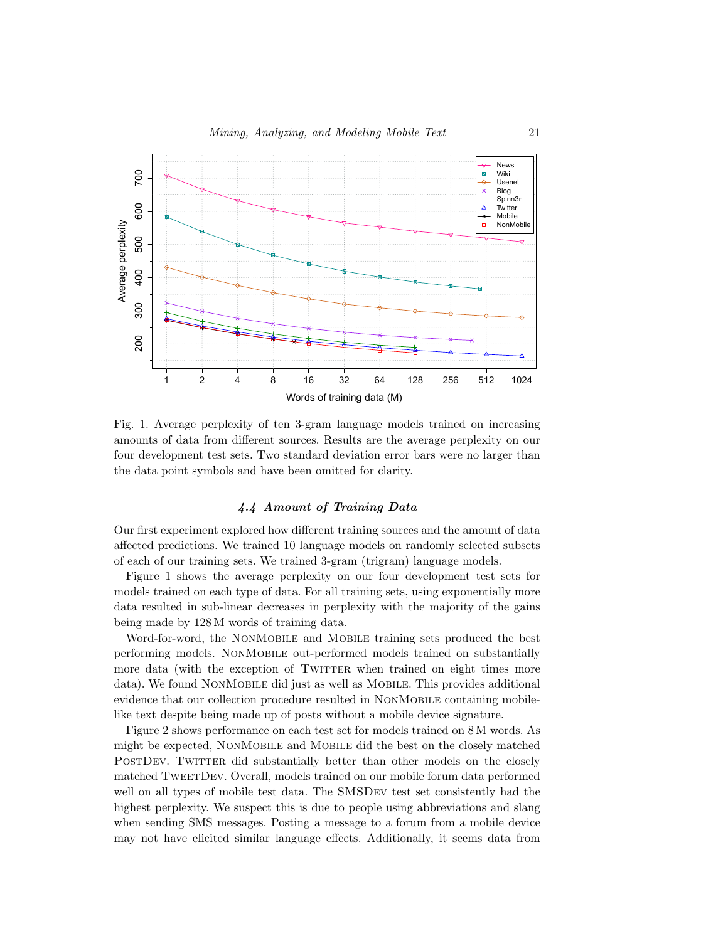

<span id="page-20-0"></span>Fig. 1. Average perplexity of ten 3-gram language models trained on increasing amounts of data from different sources. Results are the average perplexity on our four development test sets. Two standard deviation error bars were no larger than the data point symbols and have been omitted for clarity.

### 4.4 Amount of Training Data

Our first experiment explored how different training sources and the amount of data affected predictions. We trained 10 language models on randomly selected subsets of each of our training sets. We trained 3-gram (trigram) language models.

Figure [1](#page-20-0) shows the average perplexity on our four development test sets for models trained on each type of data. For all training sets, using exponentially more data resulted in sub-linear decreases in perplexity with the majority of the gains being made by 128 M words of training data.

Word-for-word, the NonMobile and Mobile training sets produced the best performing models. NonMobile out-performed models trained on substantially more data (with the exception of TWITTER when trained on eight times more data). We found NonMobile did just as well as Mobile. This provides additional evidence that our collection procedure resulted in NonMobile containing mobilelike text despite being made up of posts without a mobile device signature.

Figure [2](#page-21-0) shows performance on each test set for models trained on 8 M words. As might be expected, NonMobile and Mobile did the best on the closely matched POSTDEV. TWITTER did substantially better than other models on the closely matched TweetDev. Overall, models trained on our mobile forum data performed well on all types of mobile test data. The SMSDev test set consistently had the highest perplexity. We suspect this is due to people using abbreviations and slang when sending SMS messages. Posting a message to a forum from a mobile device may not have elicited similar language effects. Additionally, it seems data from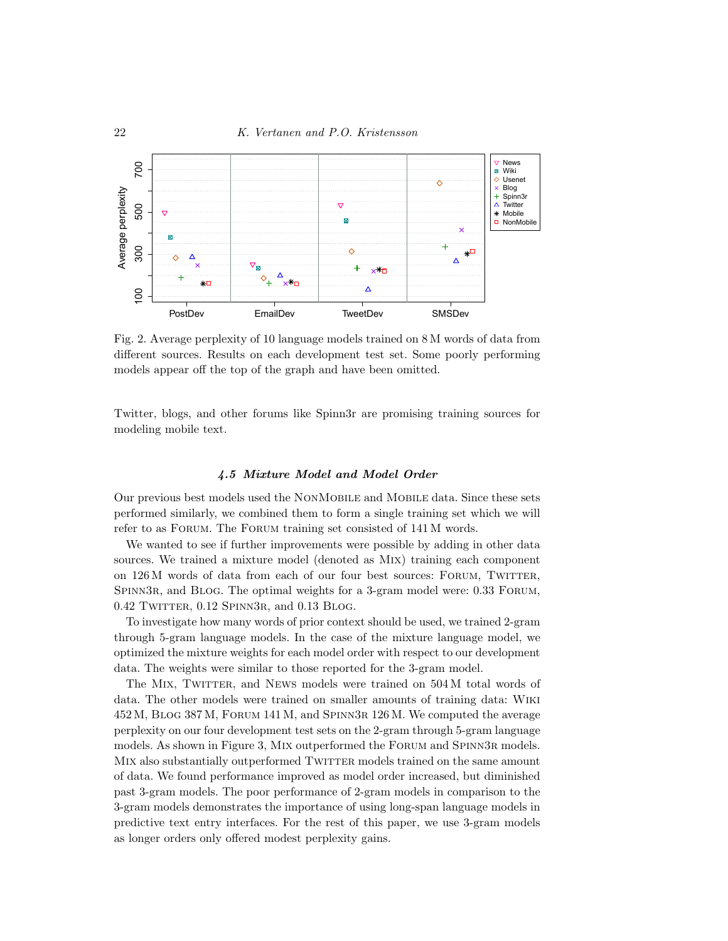

<span id="page-21-0"></span>Fig. 2. Average perplexity of 10 language models trained on 8 M words of data from different sources. Results on each development test set. Some poorly performing models appear off the top of the graph and have been omitted.

Twitter, blogs, and other forums like Spinn3r are promising training sources for modeling mobile text.

#### 4.5 Mixture Model and Model Order

Our previous best models used the NonMobile and Mobile data. Since these sets performed similarly, we combined them to form a single training set which we will refer to as Forum. The Forum training set consisted of 141 M words.

We wanted to see if further improvements were possible by adding in other data sources. We trained a mixture model (denoted as Mix) training each component on 126 M words of data from each of our four best sources: FORUM, TWITTER, SPINN3R, and BLOG. The optimal weights for a 3-gram model were: 0.33 FORUM, 0.42 TWITTER, 0.12 SPINN3R, and 0.13 BLOG.

To investigate how many words of prior context should be used, we trained 2-gram through 5-gram language models. In the case of the mixture language model, we optimized the mixture weights for each model order with respect to our development data. The weights were similar to those reported for the 3-gram model.

The MIX, TWITTER, and NEWS models were trained on 504 M total words of data. The other models were trained on smaller amounts of training data: Wiki 452 M, Blog 387 M, Forum 141 M, and Spinn3r 126 M. We computed the average perplexity on our four development test sets on the 2-gram through 5-gram language models. As shown in Figure [3,](#page-22-0) MIX outperformed the FORUM and SPINN3R models. MIX also substantially outperformed TWITTER models trained on the same amount of data. We found performance improved as model order increased, but diminished past 3-gram models. The poor performance of 2-gram models in comparison to the 3-gram models demonstrates the importance of using long-span language models in predictive text entry interfaces. For the rest of this paper, we use 3-gram models as longer orders only offered modest perplexity gains.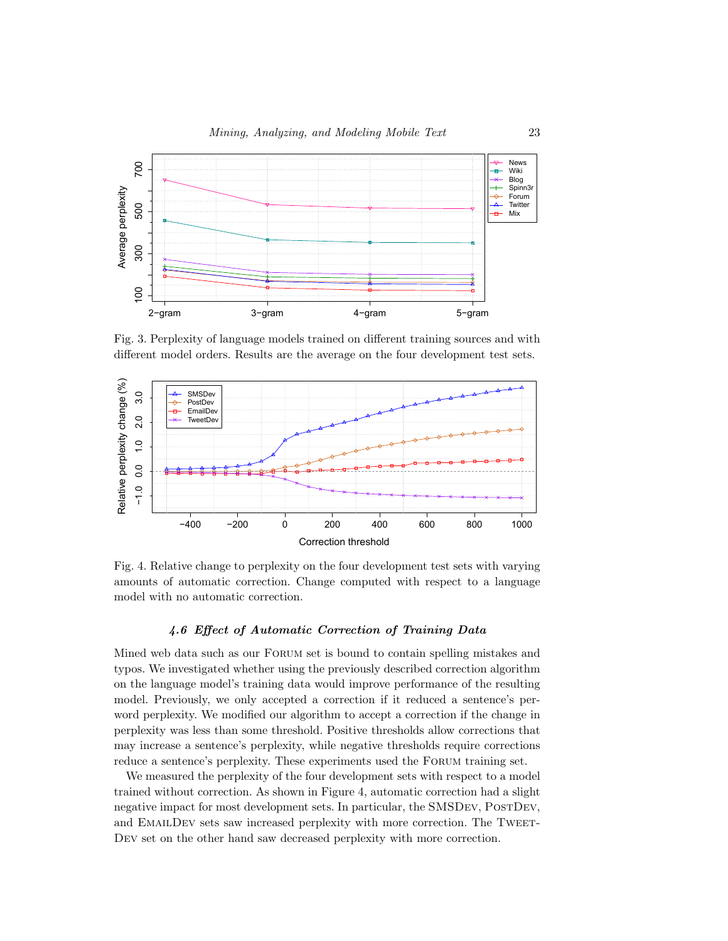

<span id="page-22-0"></span>Fig. 3. Perplexity of language models trained on different training sources and with different model orders. Results are the average on the four development test sets.



<span id="page-22-1"></span>Fig. 4. Relative change to perplexity on the four development test sets with varying amounts of automatic correction. Change computed with respect to a language model with no automatic correction.

### 4.6 Effect of Automatic Correction of Training Data

Mined web data such as our Forum set is bound to contain spelling mistakes and typos. We investigated whether using the previously described correction algorithm on the language model's training data would improve performance of the resulting model. Previously, we only accepted a correction if it reduced a sentence's perword perplexity. We modified our algorithm to accept a correction if the change in perplexity was less than some threshold. Positive thresholds allow corrections that may increase a sentence's perplexity, while negative thresholds require corrections reduce a sentence's perplexity. These experiments used the Forum training set.

We measured the perplexity of the four development sets with respect to a model trained without correction. As shown in Figure [4,](#page-22-1) automatic correction had a slight negative impact for most development sets. In particular, the SMSDEV, POSTDEV, and EMAILDEV sets saw increased perplexity with more correction. The TWEET-Dev set on the other hand saw decreased perplexity with more correction.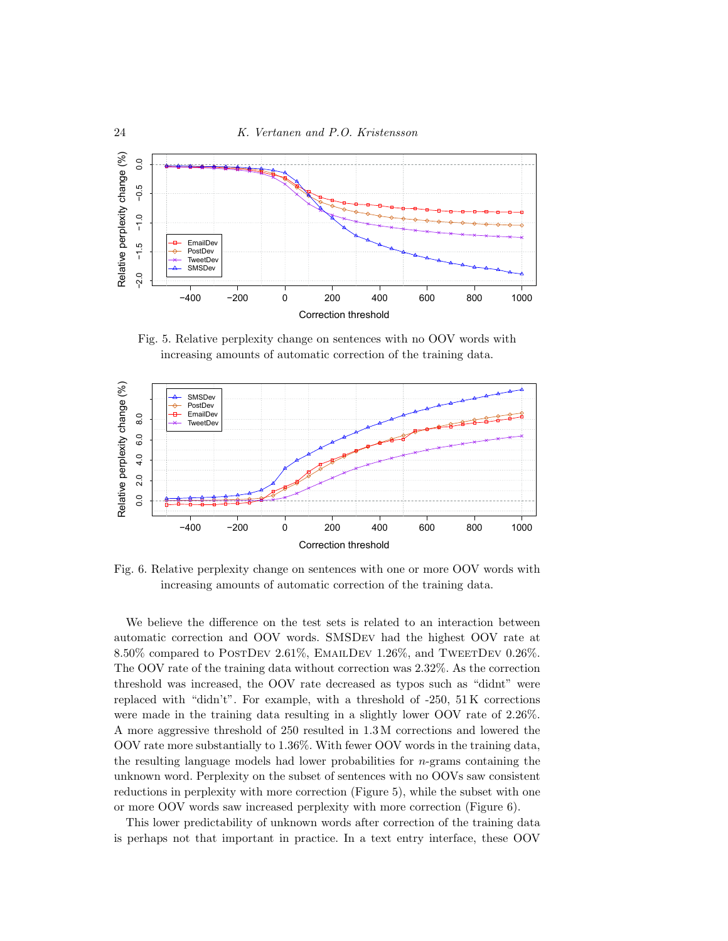

<span id="page-23-0"></span>Fig. 5. Relative perplexity change on sentences with no OOV words with increasing amounts of automatic correction of the training data.



<span id="page-23-1"></span>Fig. 6. Relative perplexity change on sentences with one or more OOV words with increasing amounts of automatic correction of the training data.

We believe the difference on the test sets is related to an interaction between automatic correction and OOV words. SMSDev had the highest OOV rate at 8.50% compared to POSTDEV 2.61%, EMAILDEV 1.26%, and TWEETDEV 0.26%. The OOV rate of the training data without correction was 2.32%. As the correction threshold was increased, the OOV rate decreased as typos such as "didnt" were replaced with "didn't". For example, with a threshold of  $-250$ ,  $51K$  corrections were made in the training data resulting in a slightly lower OOV rate of 2.26%. A more aggressive threshold of 250 resulted in 1.3 M corrections and lowered the OOV rate more substantially to 1.36%. With fewer OOV words in the training data, the resulting language models had lower probabilities for  $n$ -grams containing the unknown word. Perplexity on the subset of sentences with no OOVs saw consistent reductions in perplexity with more correction (Figure [5\)](#page-23-0), while the subset with one or more OOV words saw increased perplexity with more correction (Figure [6\)](#page-23-1).

This lower predictability of unknown words after correction of the training data is perhaps not that important in practice. In a text entry interface, these OOV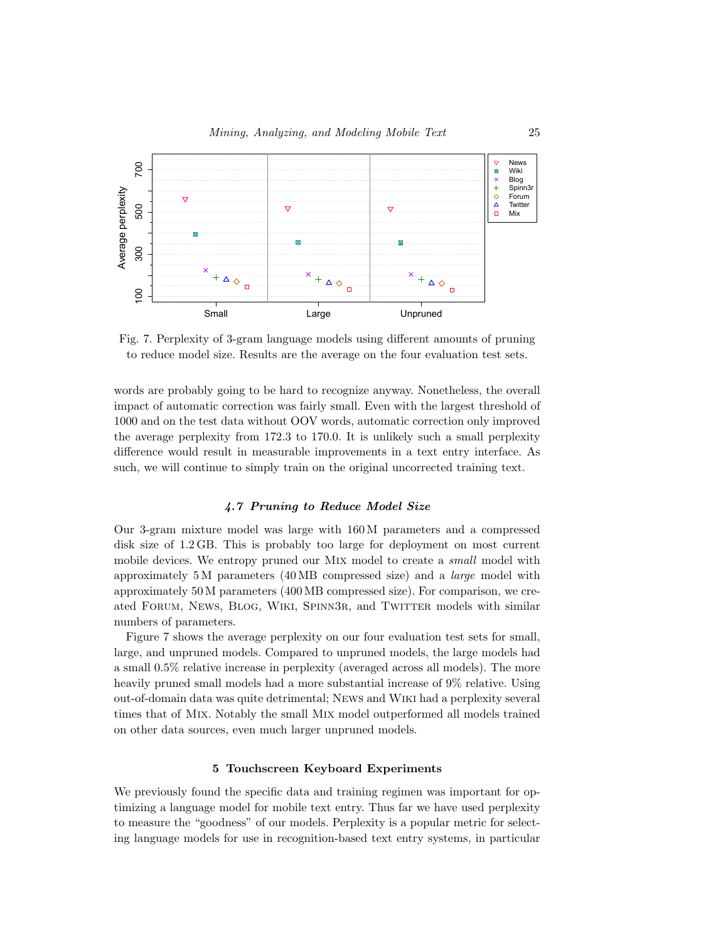

<span id="page-24-1"></span>Fig. 7. Perplexity of 3-gram language models using different amounts of pruning to reduce model size. Results are the average on the four evaluation test sets.

words are probably going to be hard to recognize anyway. Nonetheless, the overall impact of automatic correction was fairly small. Even with the largest threshold of 1000 and on the test data without OOV words, automatic correction only improved the average perplexity from 172.3 to 170.0. It is unlikely such a small perplexity difference would result in measurable improvements in a text entry interface. As such, we will continue to simply train on the original uncorrected training text.

### 4.7 Pruning to Reduce Model Size

Our 3-gram mixture model was large with 160 M parameters and a compressed disk size of 1.2 GB. This is probably too large for deployment on most current mobile devices. We entropy pruned our MIX model to create a *small* model with approximately 5 M parameters (40 MB compressed size) and a large model with approximately 50 M parameters (400 MB compressed size). For comparison, we created FORUM, NEWS, BLOG, WIKI, SPINN3R, and TWITTER models with similar numbers of parameters.

Figure [7](#page-24-1) shows the average perplexity on our four evaluation test sets for small, large, and unpruned models. Compared to unpruned models, the large models had a small 0.5% relative increase in perplexity (averaged across all models). The more heavily pruned small models had a more substantial increase of 9% relative. Using out-of-domain data was quite detrimental; News and Wiki had a perplexity several times that of Mix. Notably the small Mix model outperformed all models trained on other data sources, even much larger unpruned models.

### 5 Touchscreen Keyboard Experiments

<span id="page-24-0"></span>We previously found the specific data and training regimen was important for optimizing a language model for mobile text entry. Thus far we have used perplexity to measure the "goodness" of our models. Perplexity is a popular metric for selecting language models for use in recognition-based text entry systems, in particular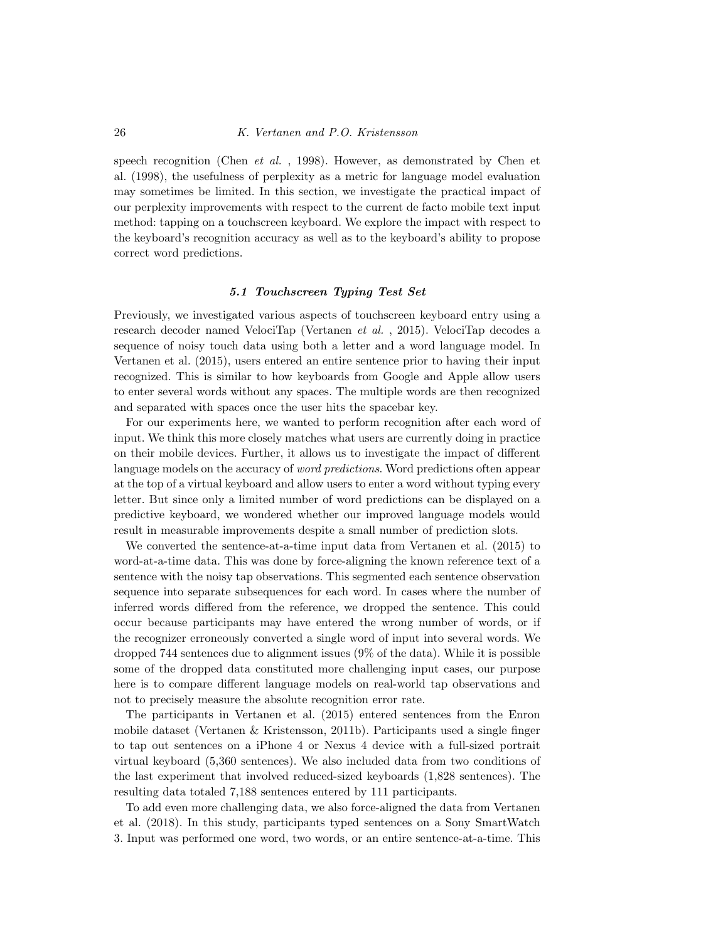speech recognition [\(Chen](#page-36-12) *et al.*, 1998). However, as demonstrated by Chen et al. [\(1998\)](#page-36-12), the usefulness of perplexity as a metric for language model evaluation may sometimes be limited. In this section, we investigate the practical impact of our perplexity improvements with respect to the current de facto mobile text input method: tapping on a touchscreen keyboard. We explore the impact with respect to the keyboard's recognition accuracy as well as to the keyboard's ability to propose correct word predictions.

#### 5.1 Touchscreen Typing Test Set

Previously, we investigated various aspects of touchscreen keyboard entry using a research decoder named VelociTap [\(Vertanen](#page-40-3) et al. , 2015). VelociTap decodes a sequence of noisy touch data using both a letter and a word language model. In Vertanen et al. [\(2015\)](#page-40-3), users entered an entire sentence prior to having their input recognized. This is similar to how keyboards from Google and Apple allow users to enter several words without any spaces. The multiple words are then recognized and separated with spaces once the user hits the spacebar key.

For our experiments here, we wanted to perform recognition after each word of input. We think this more closely matches what users are currently doing in practice on their mobile devices. Further, it allows us to investigate the impact of different language models on the accuracy of *word predictions*. Word predictions often appear at the top of a virtual keyboard and allow users to enter a word without typing every letter. But since only a limited number of word predictions can be displayed on a predictive keyboard, we wondered whether our improved language models would result in measurable improvements despite a small number of prediction slots.

We converted the sentence-at-a-time input data from Vertanen et al. [\(2015\)](#page-40-3) to word-at-a-time data. This was done by force-aligning the known reference text of a sentence with the noisy tap observations. This segmented each sentence observation sequence into separate subsequences for each word. In cases where the number of inferred words differed from the reference, we dropped the sentence. This could occur because participants may have entered the wrong number of words, or if the recognizer erroneously converted a single word of input into several words. We dropped 744 sentences due to alignment issues (9% of the data). While it is possible some of the dropped data constituted more challenging input cases, our purpose here is to compare different language models on real-world tap observations and not to precisely measure the absolute recognition error rate.

The participants in Vertanen et al. [\(2015\)](#page-40-3) entered sentences from the Enron mobile dataset (Vertanen & [Kristensson,](#page-39-0) 2011b). Participants used a single finger to tap out sentences on a iPhone 4 or Nexus 4 device with a full-sized portrait virtual keyboard (5,360 sentences). We also included data from two conditions of the last experiment that involved reduced-sized keyboards (1,828 sentences). The resulting data totaled 7,188 sentences entered by 111 participants.

To add even more challenging data, we also force-aligned the data from Vertanen et al. [\(2018\)](#page-40-4). In this study, participants typed sentences on a Sony SmartWatch 3. Input was performed one word, two words, or an entire sentence-at-a-time. This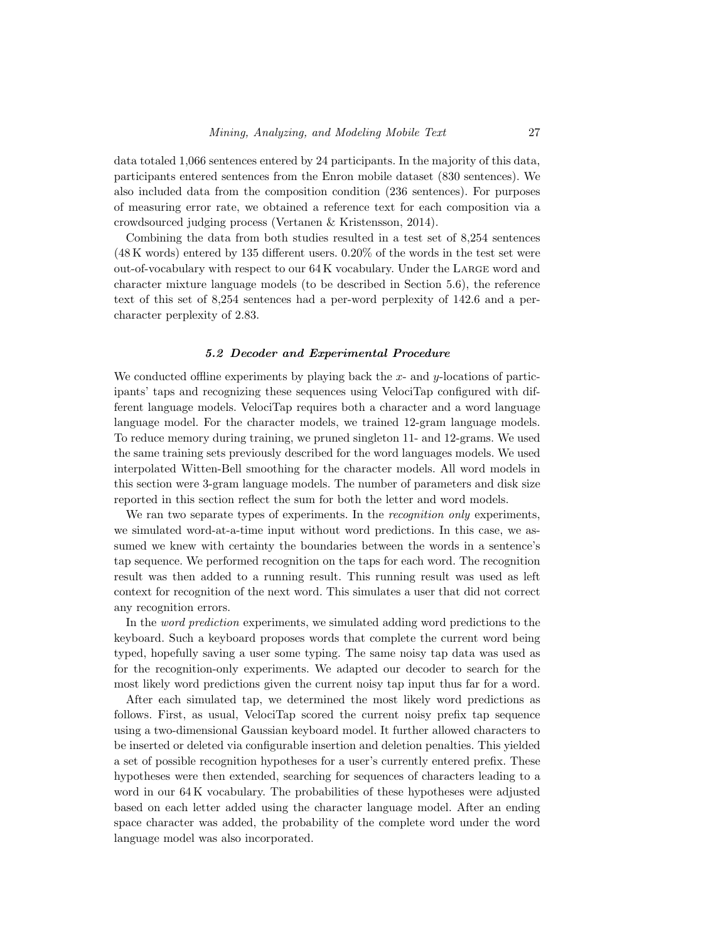data totaled 1,066 sentences entered by 24 participants. In the majority of this data, participants entered sentences from the Enron mobile dataset (830 sentences). We also included data from the composition condition (236 sentences). For purposes of measuring error rate, we obtained a reference text for each composition via a crowdsourced judging process (Vertanen & [Kristensson,](#page-39-15) 2014).

Combining the data from both studies resulted in a test set of 8,254 sentences (48 K words) entered by 135 different users. 0.20% of the words in the test set were out-of-vocabulary with respect to our 64 K vocabulary. Under the Large word and character mixture language models (to be described in Section [5.6\)](#page-29-0), the reference text of this set of 8,254 sentences had a per-word perplexity of 142.6 and a percharacter perplexity of 2.83.

#### 5.2 Decoder and Experimental Procedure

We conducted offline experiments by playing back the  $x$ - and  $y$ -locations of participants' taps and recognizing these sequences using VelociTap configured with different language models. VelociTap requires both a character and a word language language model. For the character models, we trained 12-gram language models. To reduce memory during training, we pruned singleton 11- and 12-grams. We used the same training sets previously described for the word languages models. We used interpolated Witten-Bell smoothing for the character models. All word models in this section were 3-gram language models. The number of parameters and disk size reported in this section reflect the sum for both the letter and word models.

We ran two separate types of experiments. In the *recognition only* experiments, we simulated word-at-a-time input without word predictions. In this case, we assumed we knew with certainty the boundaries between the words in a sentence's tap sequence. We performed recognition on the taps for each word. The recognition result was then added to a running result. This running result was used as left context for recognition of the next word. This simulates a user that did not correct any recognition errors.

In the word prediction experiments, we simulated adding word predictions to the keyboard. Such a keyboard proposes words that complete the current word being typed, hopefully saving a user some typing. The same noisy tap data was used as for the recognition-only experiments. We adapted our decoder to search for the most likely word predictions given the current noisy tap input thus far for a word.

After each simulated tap, we determined the most likely word predictions as follows. First, as usual, VelociTap scored the current noisy prefix tap sequence using a two-dimensional Gaussian keyboard model. It further allowed characters to be inserted or deleted via configurable insertion and deletion penalties. This yielded a set of possible recognition hypotheses for a user's currently entered prefix. These hypotheses were then extended, searching for sequences of characters leading to a word in our 64 K vocabulary. The probabilities of these hypotheses were adjusted based on each letter added using the character language model. After an ending space character was added, the probability of the complete word under the word language model was also incorporated.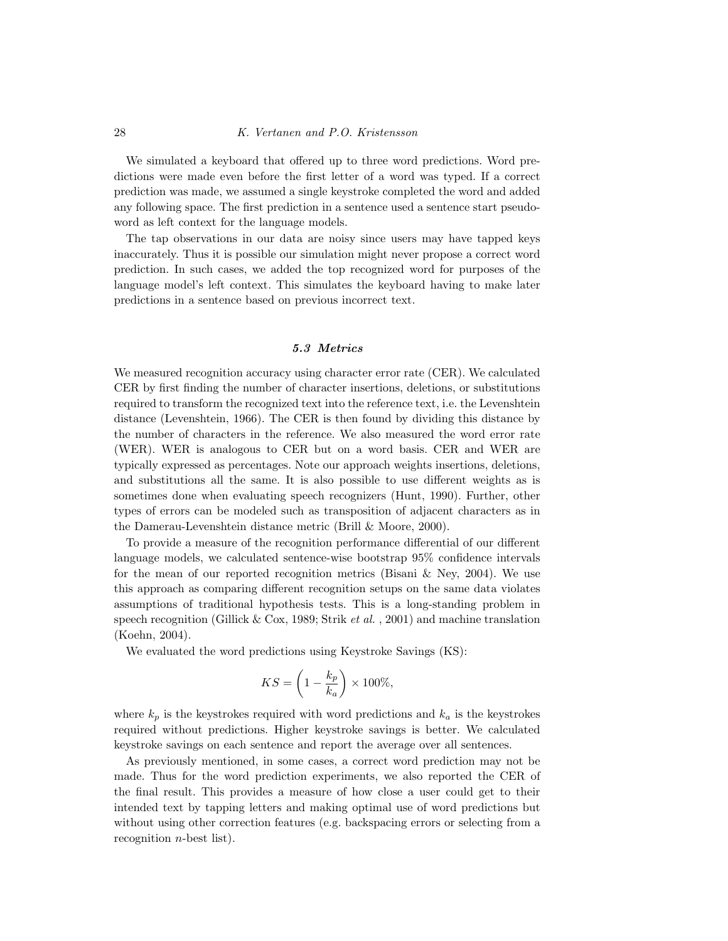We simulated a keyboard that offered up to three word predictions. Word predictions were made even before the first letter of a word was typed. If a correct prediction was made, we assumed a single keystroke completed the word and added any following space. The first prediction in a sentence used a sentence start pseudoword as left context for the language models.

The tap observations in our data are noisy since users may have tapped keys inaccurately. Thus it is possible our simulation might never propose a correct word prediction. In such cases, we added the top recognized word for purposes of the language model's left context. This simulates the keyboard having to make later predictions in a sentence based on previous incorrect text.

### 5.3 Metrics

We measured recognition accuracy using character error rate (CER). We calculated CER by first finding the number of character insertions, deletions, or substitutions required to transform the recognized text into the reference text, i.e. the Levenshtein distance [\(Levenshtein,](#page-38-12) 1966). The CER is then found by dividing this distance by the number of characters in the reference. We also measured the word error rate (WER). WER is analogous to CER but on a word basis. CER and WER are typically expressed as percentages. Note our approach weights insertions, deletions, and substitutions all the same. It is also possible to use different weights as is sometimes done when evaluating speech recognizers [\(Hunt,](#page-37-12) 1990). Further, other types of errors can be modeled such as transposition of adjacent characters as in the Damerau-Levenshtein distance metric (Brill & [Moore,](#page-36-13) 2000).

To provide a measure of the recognition performance differential of our different language models, we calculated sentence-wise bootstrap 95% confidence intervals for the mean of our reported recognition metrics [\(Bisani](#page-36-14)  $\&$  Ney, 2004). We use this approach as comparing different recognition setups on the same data violates assumptions of traditional hypothesis tests. This is a long-standing problem in speech recognition [\(Gillick](#page-37-13) & Cox, 1989; [Strik](#page-39-16) *et al.*, 2001) and machine translation [\(Koehn,](#page-37-14) 2004).

We evaluated the word predictions using Keystroke Savings (KS):

$$
KS = \left(1 - \frac{k_p}{k_a}\right) \times 100\%,
$$

where  $k_p$  is the keystrokes required with word predictions and  $k_a$  is the keystrokes required without predictions. Higher keystroke savings is better. We calculated keystroke savings on each sentence and report the average over all sentences.

As previously mentioned, in some cases, a correct word prediction may not be made. Thus for the word prediction experiments, we also reported the CER of the final result. This provides a measure of how close a user could get to their intended text by tapping letters and making optimal use of word predictions but without using other correction features (e.g. backspacing errors or selecting from a recognition  $n$ -best list).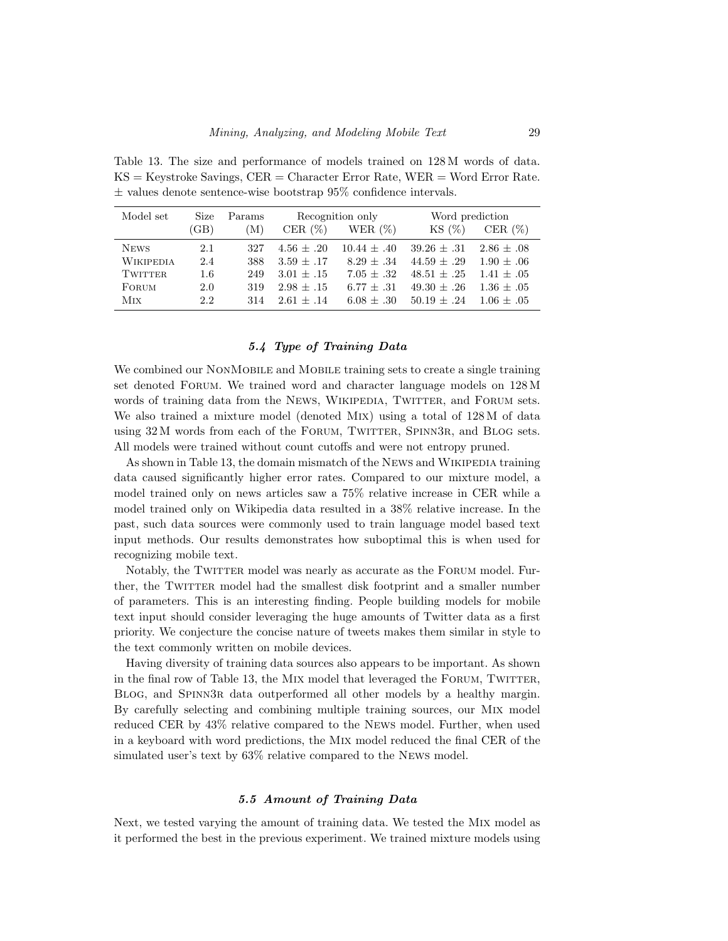<span id="page-28-0"></span>Table 13. The size and performance of models trained on 128 M words of data.  $KS =$  Keystroke Savings,  $CER =$  Character Error Rate,  $WER =$  Word Error Rate.  $\pm$  values denote sentence-wise bootstrap 95% confidence intervals.

| Model set        | Size | Params | Recognition only |               | Word prediction |                |
|------------------|------|--------|------------------|---------------|-----------------|----------------|
|                  | (GB) | M)     | CER $(\%)$       | WER $(\%)$    | KS(%)           | CER $(\%)$     |
| <b>NEWS</b>      | 2.1  | 327    | $4.56 + .20$     | $10.44 + .40$ | $39.26 \pm .31$ | $2.86 \pm .08$ |
| <b>WIKIPEDIA</b> | 2.4  | 388    | $3.59 \pm .17$   | $8.29 + .34$  | $44.59 + .29$   | $1.90 + .06$   |
| <b>TWITTER</b>   | 1.6  | 249    | $3.01 + .15$     | $7.05 + .32$  | $48.51 + .25$   | $1.41 + .05$   |
| FORUM            | 2.0  | 319    | $2.98 + .15$     | $6.77 + .31$  | $49.30 + .26$   | $1.36 + .05$   |
| Mix              | 2.2  | 314    | $2.61 + .14$     | $6.08 + .30$  | $50.19 \pm .24$ | $1.06 + .05$   |

### 5.4 Type of Training Data

We combined our NONMOBILE and MOBILE training sets to create a single training set denoted Forum. We trained word and character language models on 128 M words of training data from the NEWS, WIKIPEDIA, TWITTER, and FORUM sets. We also trained a mixture model (denoted Mix) using a total of 128 M of data using 32 M words from each of the FORUM, TWITTER, SPINN3R, and BLOG sets. All models were trained without count cutoffs and were not entropy pruned.

As shown in Table [13,](#page-28-0) the domain mismatch of the News and WIKIPEDIA training data caused significantly higher error rates. Compared to our mixture model, a model trained only on news articles saw a 75% relative increase in CER while a model trained only on Wikipedia data resulted in a 38% relative increase. In the past, such data sources were commonly used to train language model based text input methods. Our results demonstrates how suboptimal this is when used for recognizing mobile text.

Notably, the TWITTER model was nearly as accurate as the FORUM model. Further, the TWITTER model had the smallest disk footprint and a smaller number of parameters. This is an interesting finding. People building models for mobile text input should consider leveraging the huge amounts of Twitter data as a first priority. We conjecture the concise nature of tweets makes them similar in style to the text commonly written on mobile devices.

Having diversity of training data sources also appears to be important. As shown in the final row of Table [13,](#page-28-0) the MIX model that leveraged the FORUM, TWITTER, Blog, and Spinn3r data outperformed all other models by a healthy margin. By carefully selecting and combining multiple training sources, our Mix model reduced CER by 43% relative compared to the News model. Further, when used in a keyboard with word predictions, the Mix model reduced the final CER of the simulated user's text by 63% relative compared to the News model.

#### 5.5 Amount of Training Data

Next, we tested varying the amount of training data. We tested the Mix model as it performed the best in the previous experiment. We trained mixture models using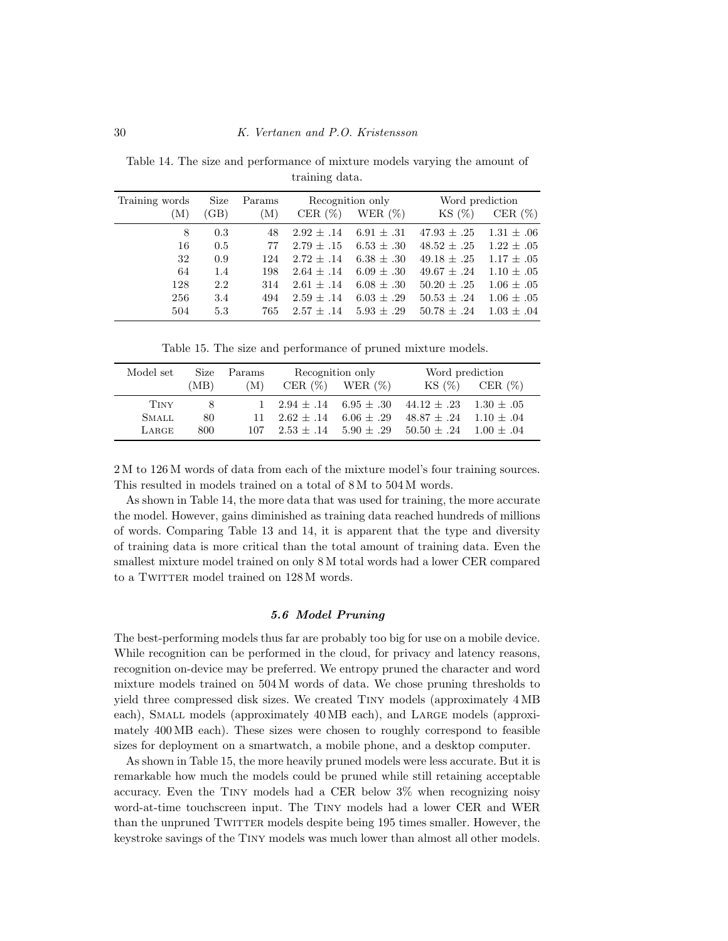<span id="page-29-1"></span>Table 14. The size and performance of mixture models varying the amount of training data.

| Training words | Size | Params | Recognition only |                | Word prediction |                |
|----------------|------|--------|------------------|----------------|-----------------|----------------|
| (M)            | (GB) | (M)    | CER $(\%)$       | WER $(\%)$     | KS(%)           | CER $(\%)$     |
| 8              | 0.3  | 48     | $2.92 \pm .14$   | $6.91 \pm .31$ | $47.93 \pm .25$ | $1.31 \pm .06$ |
| 16             | 0.5  | 77     | $2.79 + .15$     | $6.53 \pm .30$ | $48.52 \pm .25$ | $1.22 \pm .05$ |
| 32             | 0.9  | 124    | $2.72 + .14$     | $6.38 \pm .30$ | $49.18 \pm .25$ | $1.17 \pm .05$ |
| 64             | 1.4  | 198    | $2.64 \pm .14$   | $6.09 \pm .30$ | $49.67 \pm .24$ | $1.10 \pm .05$ |
| 128            | 2.2  | 314    | $2.61 + .14$     | $6.08 \pm .30$ | $50.20 \pm .25$ | $1.06 \pm .05$ |
| 256            | 3.4  | 494    | $2.59 + .14$     | $6.03 + .29$   | $50.53 + .24$   | $1.06 \pm .05$ |
| 504            | 5.3  | 765    | $2.57 \pm .14$   | $5.93 \pm .29$ | $50.78 \pm .24$ | $1.03 \pm .04$ |

<span id="page-29-2"></span>Table 15. The size and performance of pruned mixture models.

| Model set    | Size | Params       | Recognition only              |                       | Word prediction                                          |                     |
|--------------|------|--------------|-------------------------------|-----------------------|----------------------------------------------------------|---------------------|
|              | (MB) | (M)          |                               | CER $(\%)$ WER $(\%)$ |                                                          | $KS(\%)$ CER $(\%)$ |
| TINY         | -8   | $\mathbf{1}$ | $2.94 \pm .14$ 6.95 $\pm .30$ |                       | $44.12 \pm .23$ $1.30 \pm .05$                           |                     |
| <b>SMALL</b> | 80   | 11           | $2.62 + .14$ 6.06 + .29       |                       | $48.87 \pm .24$ 1.10 $\pm .04$                           |                     |
| LARGE        | 800  | 107          |                               |                       | $2.53 + 0.14$ $5.90 + 0.29$ $50.50 + 0.24$ $1.00 + 0.04$ |                     |

2 M to 126 M words of data from each of the mixture model's four training sources. This resulted in models trained on a total of 8 M to 504 M words.

As shown in Table [14,](#page-29-1) the more data that was used for training, the more accurate the model. However, gains diminished as training data reached hundreds of millions of words. Comparing Table [13](#page-28-0) and [14,](#page-29-1) it is apparent that the type and diversity of training data is more critical than the total amount of training data. Even the smallest mixture model trained on only 8 M total words had a lower CER compared to a TWITTER model trained on 128 M words.

### 5.6 Model Pruning

<span id="page-29-0"></span>The best-performing models thus far are probably too big for use on a mobile device. While recognition can be performed in the cloud, for privacy and latency reasons, recognition on-device may be preferred. We entropy pruned the character and word mixture models trained on 504 M words of data. We chose pruning thresholds to yield three compressed disk sizes. We created Tiny models (approximately 4 MB each), SMALL models (approximately 40 MB each), and LARGE models (approximately 400 MB each). These sizes were chosen to roughly correspond to feasible sizes for deployment on a smartwatch, a mobile phone, and a desktop computer.

As shown in Table [15,](#page-29-2) the more heavily pruned models were less accurate. But it is remarkable how much the models could be pruned while still retaining acceptable accuracy. Even the Tiny models had a CER below 3% when recognizing noisy word-at-time touchscreen input. The Tiny models had a lower CER and WER than the unpruned TWITTER models despite being 195 times smaller. However, the keystroke savings of the Tiny models was much lower than almost all other models.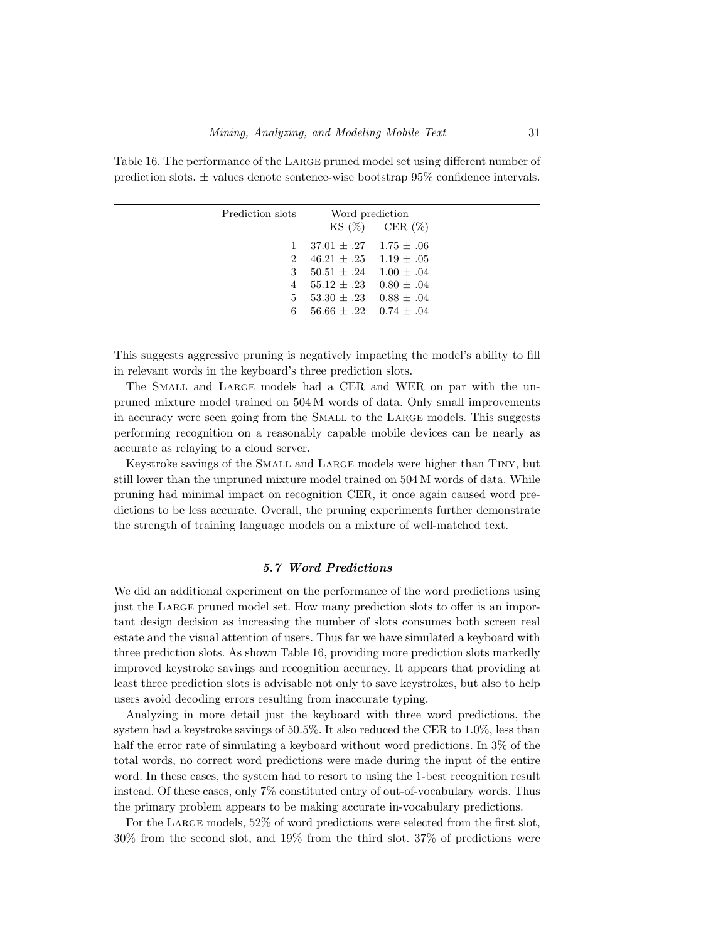| Prediction slots            | Word prediction<br>$KS(\%)$ CER $(\%)$ |  |  |
|-----------------------------|----------------------------------------|--|--|
|                             | $37.01 \pm .27$ 1.75 $\pm .06$         |  |  |
| $\mathcal{D}_{\mathcal{L}}$ | $46.21 \pm .25 \quad 1.19 \pm .05$     |  |  |
| 3                           | $50.51 \pm .24$ $1.00 \pm .04$         |  |  |
| 4                           | $55.12 \pm .23$ 0.80 $\pm .04$         |  |  |
| 5                           | $53.30 \pm .23$ 0.88 $\pm .04$         |  |  |
| 6                           | $56.66 \pm .22$ 0.74 $\pm .04$         |  |  |

<span id="page-30-0"></span>Table 16. The performance of the Large pruned model set using different number of prediction slots. ± values denote sentence-wise bootstrap 95% confidence intervals.

This suggests aggressive pruning is negatively impacting the model's ability to fill in relevant words in the keyboard's three prediction slots.

The SMALL and LARGE models had a CER and WER on par with the unpruned mixture model trained on 504 M words of data. Only small improvements in accuracy were seen going from the Small to the Large models. This suggests performing recognition on a reasonably capable mobile devices can be nearly as accurate as relaying to a cloud server.

Keystroke savings of the Small and Large models were higher than Tiny, but still lower than the unpruned mixture model trained on 504 M words of data. While pruning had minimal impact on recognition CER, it once again caused word predictions to be less accurate. Overall, the pruning experiments further demonstrate the strength of training language models on a mixture of well-matched text.

### 5.7 Word Predictions

We did an additional experiment on the performance of the word predictions using just the Large pruned model set. How many prediction slots to offer is an important design decision as increasing the number of slots consumes both screen real estate and the visual attention of users. Thus far we have simulated a keyboard with three prediction slots. As shown Table [16,](#page-30-0) providing more prediction slots markedly improved keystroke savings and recognition accuracy. It appears that providing at least three prediction slots is advisable not only to save keystrokes, but also to help users avoid decoding errors resulting from inaccurate typing.

Analyzing in more detail just the keyboard with three word predictions, the system had a keystroke savings of 50.5%. It also reduced the CER to 1.0%, less than half the error rate of simulating a keyboard without word predictions. In 3% of the total words, no correct word predictions were made during the input of the entire word. In these cases, the system had to resort to using the 1-best recognition result instead. Of these cases, only 7% constituted entry of out-of-vocabulary words. Thus the primary problem appears to be making accurate in-vocabulary predictions.

For the LARGE models, 52% of word predictions were selected from the first slot, 30% from the second slot, and 19% from the third slot. 37% of predictions were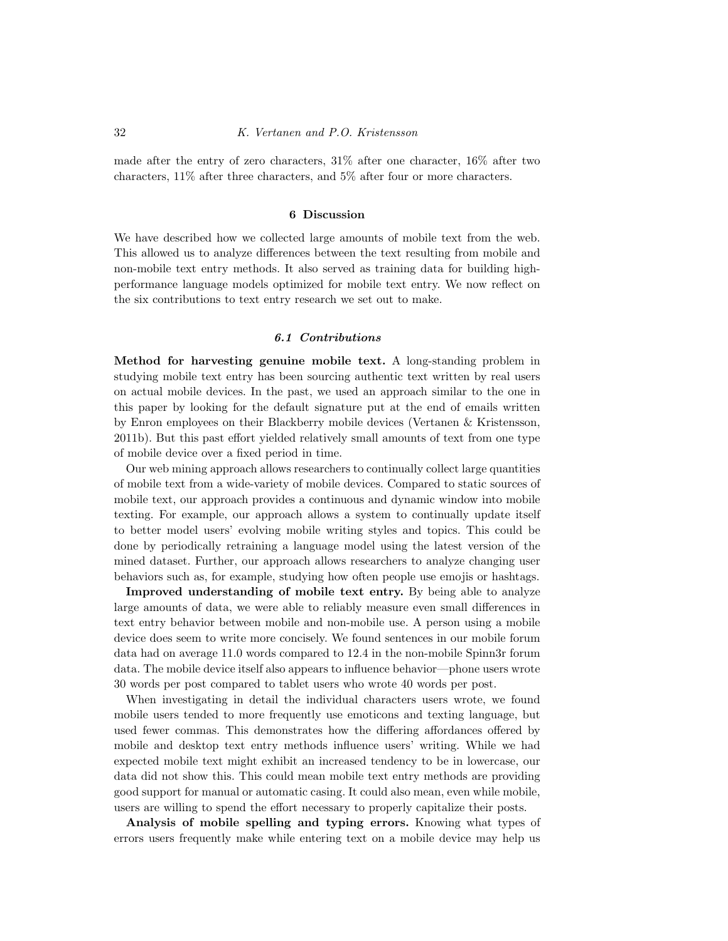made after the entry of zero characters, 31% after one character, 16% after two characters, 11% after three characters, and 5% after four or more characters.

### 6 Discussion

We have described how we collected large amounts of mobile text from the web. This allowed us to analyze differences between the text resulting from mobile and non-mobile text entry methods. It also served as training data for building highperformance language models optimized for mobile text entry. We now reflect on the six contributions to text entry research we set out to make.

#### 6.1 Contributions

Method for harvesting genuine mobile text. A long-standing problem in studying mobile text entry has been sourcing authentic text written by real users on actual mobile devices. In the past, we used an approach similar to the one in this paper by looking for the default signature put at the end of emails written by Enron employees on their Blackberry mobile devices (Vertanen & [Kristensson,](#page-39-0) [2011b\)](#page-39-0). But this past effort yielded relatively small amounts of text from one type of mobile device over a fixed period in time.

Our web mining approach allows researchers to continually collect large quantities of mobile text from a wide-variety of mobile devices. Compared to static sources of mobile text, our approach provides a continuous and dynamic window into mobile texting. For example, our approach allows a system to continually update itself to better model users' evolving mobile writing styles and topics. This could be done by periodically retraining a language model using the latest version of the mined dataset. Further, our approach allows researchers to analyze changing user behaviors such as, for example, studying how often people use emojis or hashtags.

Improved understanding of mobile text entry. By being able to analyze large amounts of data, we were able to reliably measure even small differences in text entry behavior between mobile and non-mobile use. A person using a mobile device does seem to write more concisely. We found sentences in our mobile forum data had on average 11.0 words compared to 12.4 in the non-mobile Spinn3r forum data. The mobile device itself also appears to influence behavior—phone users wrote 30 words per post compared to tablet users who wrote 40 words per post.

When investigating in detail the individual characters users wrote, we found mobile users tended to more frequently use emoticons and texting language, but used fewer commas. This demonstrates how the differing affordances offered by mobile and desktop text entry methods influence users' writing. While we had expected mobile text might exhibit an increased tendency to be in lowercase, our data did not show this. This could mean mobile text entry methods are providing good support for manual or automatic casing. It could also mean, even while mobile, users are willing to spend the effort necessary to properly capitalize their posts.

Analysis of mobile spelling and typing errors. Knowing what types of errors users frequently make while entering text on a mobile device may help us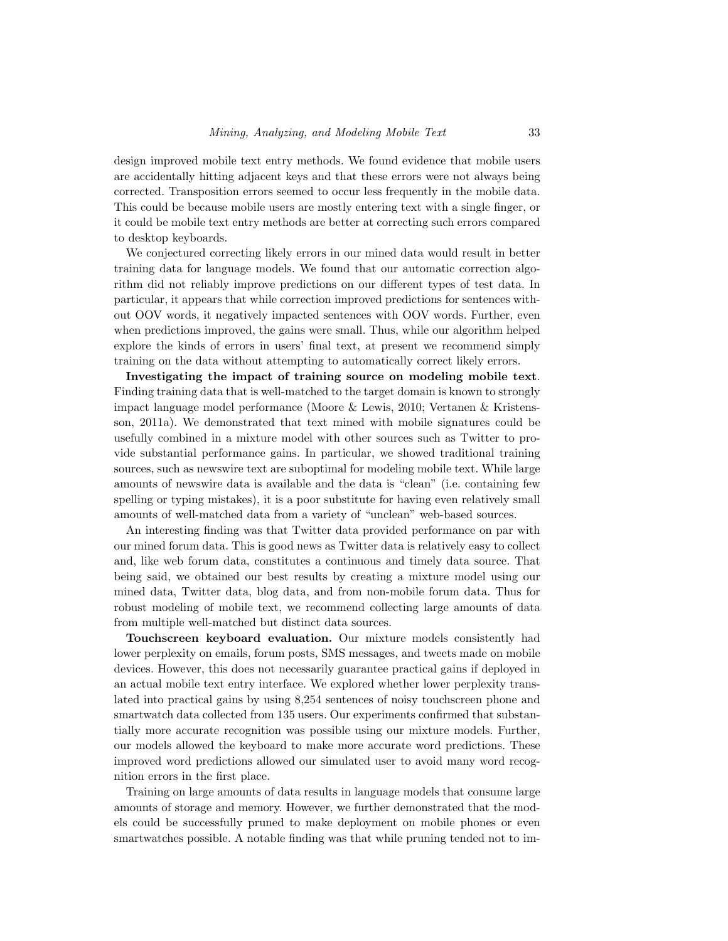design improved mobile text entry methods. We found evidence that mobile users are accidentally hitting adjacent keys and that these errors were not always being corrected. Transposition errors seemed to occur less frequently in the mobile data. This could be because mobile users are mostly entering text with a single finger, or it could be mobile text entry methods are better at correcting such errors compared to desktop keyboards.

We conjectured correcting likely errors in our mined data would result in better training data for language models. We found that our automatic correction algorithm did not reliably improve predictions on our different types of test data. In particular, it appears that while correction improved predictions for sentences without OOV words, it negatively impacted sentences with OOV words. Further, even when predictions improved, the gains were small. Thus, while our algorithm helped explore the kinds of errors in users' final text, at present we recommend simply training on the data without attempting to automatically correct likely errors.

Investigating the impact of training source on modeling mobile text. Finding training data that is well-matched to the target domain is known to strongly impact language model performance [\(Moore](#page-38-6) & Lewis, 2010; Vertanen & [Kristens](#page-39-5)son, [2011a\)](#page-39-5). We demonstrated that text mined with mobile signatures could be usefully combined in a mixture model with other sources such as Twitter to provide substantial performance gains. In particular, we showed traditional training sources, such as newswire text are suboptimal for modeling mobile text. While large amounts of newswire data is available and the data is "clean" (i.e. containing few spelling or typing mistakes), it is a poor substitute for having even relatively small amounts of well-matched data from a variety of "unclean" web-based sources.

An interesting finding was that Twitter data provided performance on par with our mined forum data. This is good news as Twitter data is relatively easy to collect and, like web forum data, constitutes a continuous and timely data source. That being said, we obtained our best results by creating a mixture model using our mined data, Twitter data, blog data, and from non-mobile forum data. Thus for robust modeling of mobile text, we recommend collecting large amounts of data from multiple well-matched but distinct data sources.

Touchscreen keyboard evaluation. Our mixture models consistently had lower perplexity on emails, forum posts, SMS messages, and tweets made on mobile devices. However, this does not necessarily guarantee practical gains if deployed in an actual mobile text entry interface. We explored whether lower perplexity translated into practical gains by using 8,254 sentences of noisy touchscreen phone and smartwatch data collected from 135 users. Our experiments confirmed that substantially more accurate recognition was possible using our mixture models. Further, our models allowed the keyboard to make more accurate word predictions. These improved word predictions allowed our simulated user to avoid many word recognition errors in the first place.

Training on large amounts of data results in language models that consume large amounts of storage and memory. However, we further demonstrated that the models could be successfully pruned to make deployment on mobile phones or even smartwatches possible. A notable finding was that while pruning tended not to im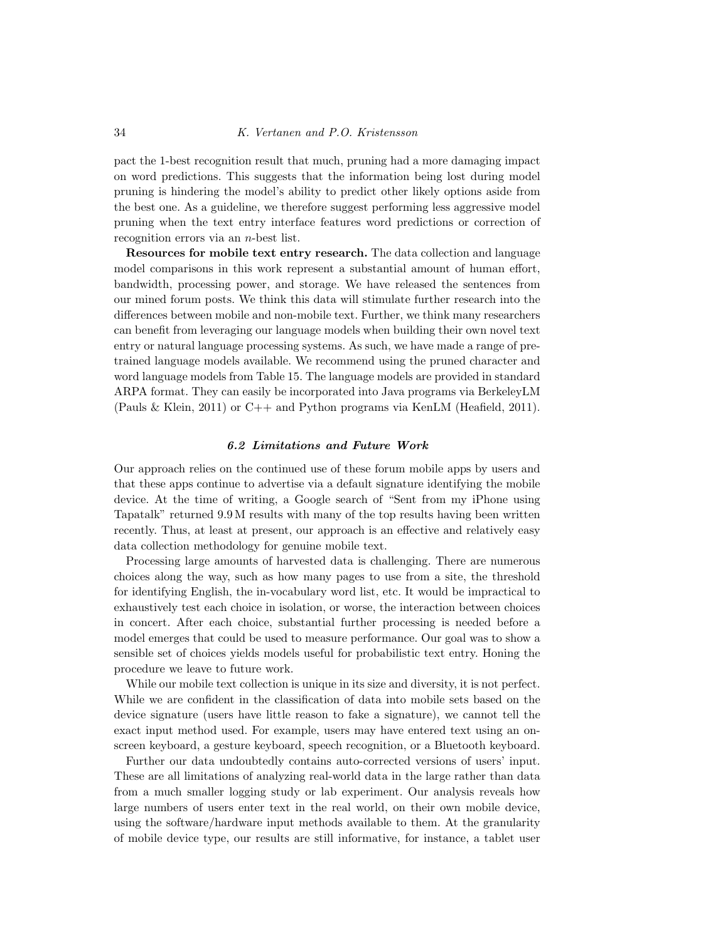pact the 1-best recognition result that much, pruning had a more damaging impact on word predictions. This suggests that the information being lost during model pruning is hindering the model's ability to predict other likely options aside from the best one. As a guideline, we therefore suggest performing less aggressive model pruning when the text entry interface features word predictions or correction of recognition errors via an n-best list.

Resources for mobile text entry research. The data collection and language model comparisons in this work represent a substantial amount of human effort, bandwidth, processing power, and storage. We have released the sentences from our mined forum posts. We think this data will stimulate further research into the differences between mobile and non-mobile text. Further, we think many researchers can benefit from leveraging our language models when building their own novel text entry or natural language processing systems. As such, we have made a range of pretrained language models available. We recommend using the pruned character and word language models from Table [15.](#page-29-2) The language models are provided in standard ARPA format. They can easily be incorporated into Java programs via BerkeleyLM (Pauls & [Klein,](#page-38-13) 2011) or C++ and Python programs via KenLM [\(Heafield,](#page-37-15) 2011).

#### 6.2 Limitations and Future Work

Our approach relies on the continued use of these forum mobile apps by users and that these apps continue to advertise via a default signature identifying the mobile device. At the time of writing, a Google search of "Sent from my iPhone using Tapatalk" returned 9.9 M results with many of the top results having been written recently. Thus, at least at present, our approach is an effective and relatively easy data collection methodology for genuine mobile text.

Processing large amounts of harvested data is challenging. There are numerous choices along the way, such as how many pages to use from a site, the threshold for identifying English, the in-vocabulary word list, etc. It would be impractical to exhaustively test each choice in isolation, or worse, the interaction between choices in concert. After each choice, substantial further processing is needed before a model emerges that could be used to measure performance. Our goal was to show a sensible set of choices yields models useful for probabilistic text entry. Honing the procedure we leave to future work.

While our mobile text collection is unique in its size and diversity, it is not perfect. While we are confident in the classification of data into mobile sets based on the device signature (users have little reason to fake a signature), we cannot tell the exact input method used. For example, users may have entered text using an onscreen keyboard, a gesture keyboard, speech recognition, or a Bluetooth keyboard.

Further our data undoubtedly contains auto-corrected versions of users' input. These are all limitations of analyzing real-world data in the large rather than data from a much smaller logging study or lab experiment. Our analysis reveals how large numbers of users enter text in the real world, on their own mobile device, using the software/hardware input methods available to them. At the granularity of mobile device type, our results are still informative, for instance, a tablet user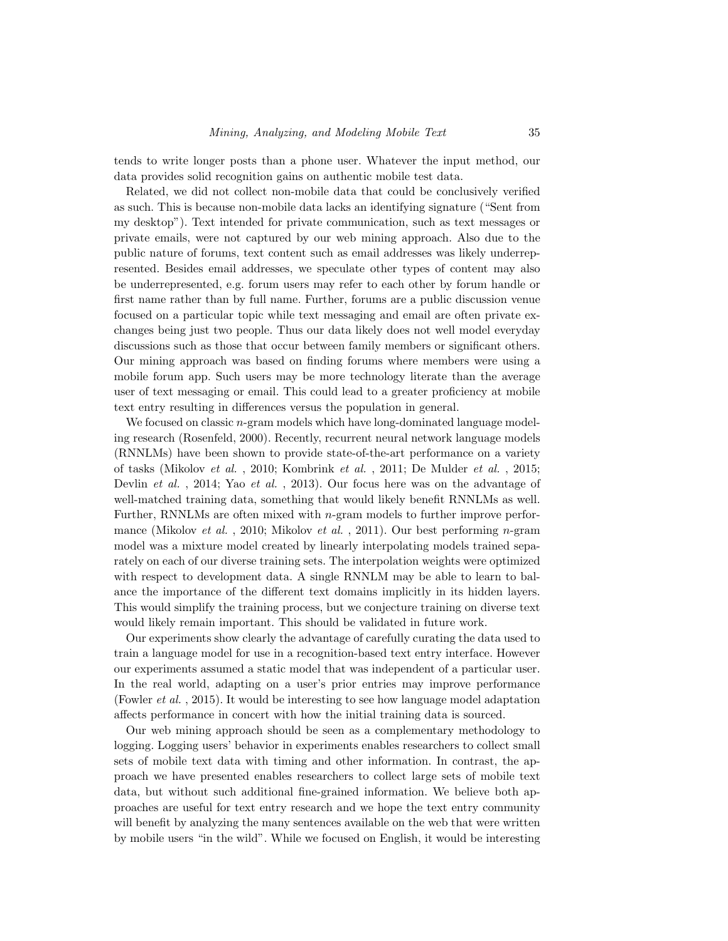tends to write longer posts than a phone user. Whatever the input method, our data provides solid recognition gains on authentic mobile test data.

Related, we did not collect non-mobile data that could be conclusively verified as such. This is because non-mobile data lacks an identifying signature ("Sent from my desktop"). Text intended for private communication, such as text messages or private emails, were not captured by our web mining approach. Also due to the public nature of forums, text content such as email addresses was likely underrepresented. Besides email addresses, we speculate other types of content may also be underrepresented, e.g. forum users may refer to each other by forum handle or first name rather than by full name. Further, forums are a public discussion venue focused on a particular topic while text messaging and email are often private exchanges being just two people. Thus our data likely does not well model everyday discussions such as those that occur between family members or significant others. Our mining approach was based on finding forums where members were using a mobile forum app. Such users may be more technology literate than the average user of text messaging or email. This could lead to a greater proficiency at mobile text entry resulting in differences versus the population in general.

We focused on classic  $n$ -gram models which have long-dominated language modeling research [\(Rosenfeld,](#page-39-17) 2000). Recently, recurrent neural network language models (RNNLMs) have been shown to provide state-of-the-art performance on a variety of tasks [\(Mikolov](#page-38-14) et al. , 2010; [Kombrink](#page-37-16) et al. , 2011; De [Mulder](#page-36-15) et al. , 2015; [Devlin](#page-36-16) et al., 2014; Yao et al., [2013\)](#page-40-5). Our focus here was on the advantage of well-matched training data, something that would likely benefit RNNLMs as well. Further, RNNLMs are often mixed with  $n$ -gram models to further improve perfor-mance [\(Mikolov](#page-38-14) et al., 2010; [Mikolov](#page-38-15) et al., 2011). Our best performing n-gram model was a mixture model created by linearly interpolating models trained separately on each of our diverse training sets. The interpolation weights were optimized with respect to development data. A single RNNLM may be able to learn to balance the importance of the different text domains implicitly in its hidden layers. This would simplify the training process, but we conjecture training on diverse text would likely remain important. This should be validated in future work.

Our experiments show clearly the advantage of carefully curating the data used to train a language model for use in a recognition-based text entry interface. However our experiments assumed a static model that was independent of a particular user. In the real world, adapting on a user's prior entries may improve performance [\(Fowler](#page-37-8) et al. , 2015). It would be interesting to see how language model adaptation affects performance in concert with how the initial training data is sourced.

Our web mining approach should be seen as a complementary methodology to logging. Logging users' behavior in experiments enables researchers to collect small sets of mobile text data with timing and other information. In contrast, the approach we have presented enables researchers to collect large sets of mobile text data, but without such additional fine-grained information. We believe both approaches are useful for text entry research and we hope the text entry community will benefit by analyzing the many sentences available on the web that were written by mobile users "in the wild". While we focused on English, it would be interesting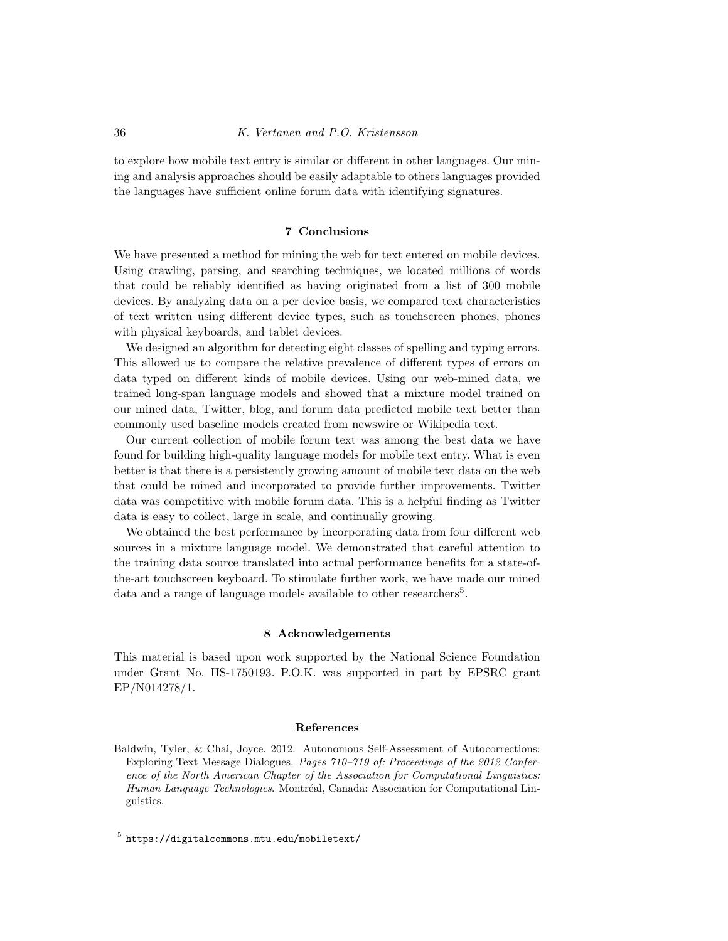to explore how mobile text entry is similar or different in other languages. Our mining and analysis approaches should be easily adaptable to others languages provided the languages have sufficient online forum data with identifying signatures.

### 7 Conclusions

We have presented a method for mining the web for text entered on mobile devices. Using crawling, parsing, and searching techniques, we located millions of words that could be reliably identified as having originated from a list of 300 mobile devices. By analyzing data on a per device basis, we compared text characteristics of text written using different device types, such as touchscreen phones, phones with physical keyboards, and tablet devices.

We designed an algorithm for detecting eight classes of spelling and typing errors. This allowed us to compare the relative prevalence of different types of errors on data typed on different kinds of mobile devices. Using our web-mined data, we trained long-span language models and showed that a mixture model trained on our mined data, Twitter, blog, and forum data predicted mobile text better than commonly used baseline models created from newswire or Wikipedia text.

Our current collection of mobile forum text was among the best data we have found for building high-quality language models for mobile text entry. What is even better is that there is a persistently growing amount of mobile text data on the web that could be mined and incorporated to provide further improvements. Twitter data was competitive with mobile forum data. This is a helpful finding as Twitter data is easy to collect, large in scale, and continually growing.

We obtained the best performance by incorporating data from four different web sources in a mixture language model. We demonstrated that careful attention to the training data source translated into actual performance benefits for a state-ofthe-art touchscreen keyboard. To stimulate further work, we have made our mined data and a range of language models available to other researchers<sup>[5](#page-35-1)</sup>.

### 8 Acknowledgements

This material is based upon work supported by the National Science Foundation under Grant No. IIS-1750193. P.O.K. was supported in part by EPSRC grant EP/N014278/1.

#### References

<span id="page-35-0"></span>Baldwin, Tyler, & Chai, Joyce. 2012. Autonomous Self-Assessment of Autocorrections: Exploring Text Message Dialogues. Pages 710–719 of: Proceedings of the 2012 Conference of the North American Chapter of the Association for Computational Linguistics: Human Language Technologies. Montréal, Canada: Association for Computational Linguistics.

<span id="page-35-1"></span> $5$  <https://digitalcommons.mtu.edu/mobiletext/>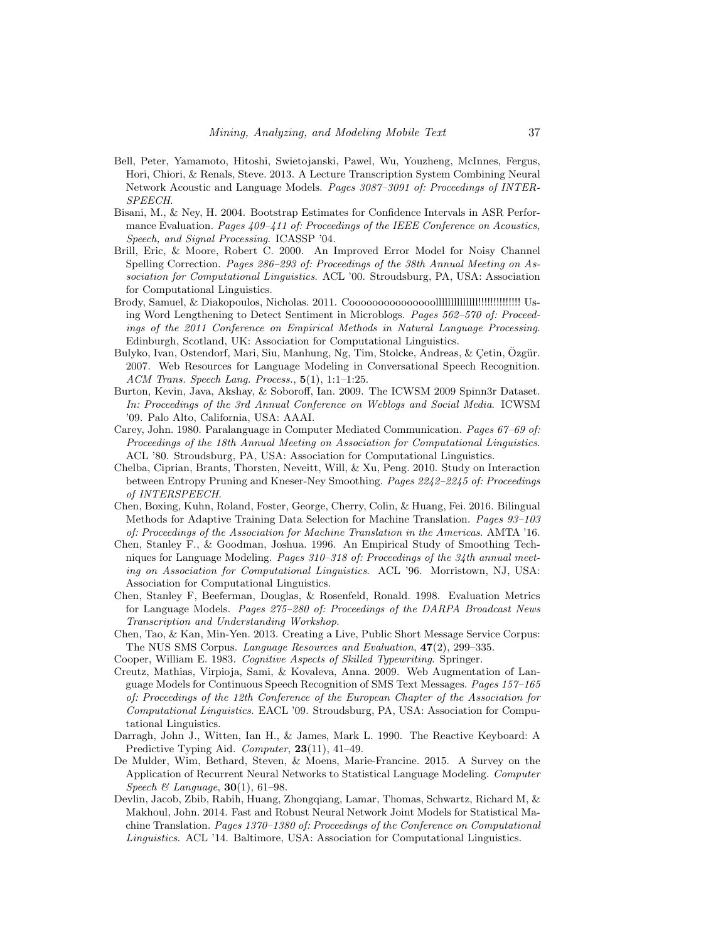- <span id="page-36-6"></span>Bell, Peter, Yamamoto, Hitoshi, Swietojanski, Pawel, Wu, Youzheng, McInnes, Fergus, Hori, Chiori, & Renals, Steve. 2013. A Lecture Transcription System Combining Neural Network Acoustic and Language Models. Pages 3087–3091 of: Proceedings of INTER-SPEECH.
- <span id="page-36-14"></span>Bisani, M., & Ney, H. 2004. Bootstrap Estimates for Confidence Intervals in ASR Performance Evaluation. Pages 409–411 of: Proceedings of the IEEE Conference on Acoustics, Speech, and Signal Processing. ICASSP '04.
- <span id="page-36-13"></span>Brill, Eric, & Moore, Robert C. 2000. An Improved Error Model for Noisy Channel Spelling Correction. Pages 286-293 of: Proceedings of the 38th Annual Meeting on Association for Computational Linguistics. ACL '00. Stroudsburg, PA, USA: Association for Computational Linguistics.
- <span id="page-36-3"></span>Brody, Samuel, & Diakopoulos, Nicholas. 2011. Cooooooooooooooollllllllllllll!!!!!!!!!!!!!! Using Word Lengthening to Detect Sentiment in Microblogs. Pages 562–570 of: Proceedings of the 2011 Conference on Empirical Methods in Natural Language Processing. Edinburgh, Scotland, UK: Association for Computational Linguistics.
- <span id="page-36-1"></span>Bulyko, Ivan, Ostendorf, Mari, Siu, Manhung, Ng, Tim, Stolcke, Andreas, & Çetin, Ozgür. 2007. Web Resources for Language Modeling in Conversational Speech Recognition.  $ACM$  Trans. Speech Lang. Process.,  $5(1)$ , 1:1-1:25.
- <span id="page-36-7"></span>Burton, Kevin, Java, Akshay, & Soboroff, Ian. 2009. The ICWSM 2009 Spinn3r Dataset. In: Proceedings of the 3rd Annual Conference on Weblogs and Social Media. ICWSM '09. Palo Alto, California, USA: AAAI.
- <span id="page-36-8"></span>Carey, John. 1980. Paralanguage in Computer Mediated Communication. Pages 67–69 of: Proceedings of the 18th Annual Meeting on Association for Computational Linguistics. ACL '80. Stroudsburg, PA, USA: Association for Computational Linguistics.
- <span id="page-36-11"></span>Chelba, Ciprian, Brants, Thorsten, Neveitt, Will, & Xu, Peng. 2010. Study on Interaction between Entropy Pruning and Kneser-Ney Smoothing. Pages 2242–2245 of: Proceedings of INTERSPEECH.
- <span id="page-36-5"></span>Chen, Boxing, Kuhn, Roland, Foster, George, Cherry, Colin, & Huang, Fei. 2016. Bilingual Methods for Adaptive Training Data Selection for Machine Translation. Pages 93–103 of: Proceedings of the Association for Machine Translation in the Americas. AMTA '16.
- <span id="page-36-10"></span>Chen, Stanley F., & Goodman, Joshua. 1996. An Empirical Study of Smoothing Techniques for Language Modeling. Pages 310–318 of: Proceedings of the 34th annual meeting on Association for Computational Linguistics. ACL '96. Morristown, NJ, USA: Association for Computational Linguistics.
- <span id="page-36-12"></span>Chen, Stanley F, Beeferman, Douglas, & Rosenfeld, Ronald. 1998. Evaluation Metrics for Language Models. Pages 275–280 of: Proceedings of the DARPA Broadcast News Transcription and Understanding Workshop.
- <span id="page-36-0"></span>Chen, Tao, & Kan, Min-Yen. 2013. Creating a Live, Public Short Message Service Corpus: The NUS SMS Corpus. Language Resources and Evaluation, 47(2), 299–335.
- <span id="page-36-9"></span>Cooper, William E. 1983. Cognitive Aspects of Skilled Typewriting. Springer.
- <span id="page-36-2"></span>Creutz, Mathias, Virpioja, Sami, & Kovaleva, Anna. 2009. Web Augmentation of Language Models for Continuous Speech Recognition of SMS Text Messages. Pages 157–165 of: Proceedings of the 12th Conference of the European Chapter of the Association for Computational Linguistics. EACL '09. Stroudsburg, PA, USA: Association for Computational Linguistics.
- <span id="page-36-4"></span>Darragh, John J., Witten, Ian H., & James, Mark L. 1990. The Reactive Keyboard: A Predictive Typing Aid. Computer, 23(11), 41-49.
- <span id="page-36-15"></span>De Mulder, Wim, Bethard, Steven, & Moens, Marie-Francine. 2015. A Survey on the Application of Recurrent Neural Networks to Statistical Language Modeling. Computer Speech & Language,  $30(1)$ , 61–98.
- <span id="page-36-16"></span>Devlin, Jacob, Zbib, Rabih, Huang, Zhongqiang, Lamar, Thomas, Schwartz, Richard M, & Makhoul, John. 2014. Fast and Robust Neural Network Joint Models for Statistical Machine Translation. Pages 1370–1380 of: Proceedings of the Conference on Computational Linguistics. ACL '14. Baltimore, USA: Association for Computational Linguistics.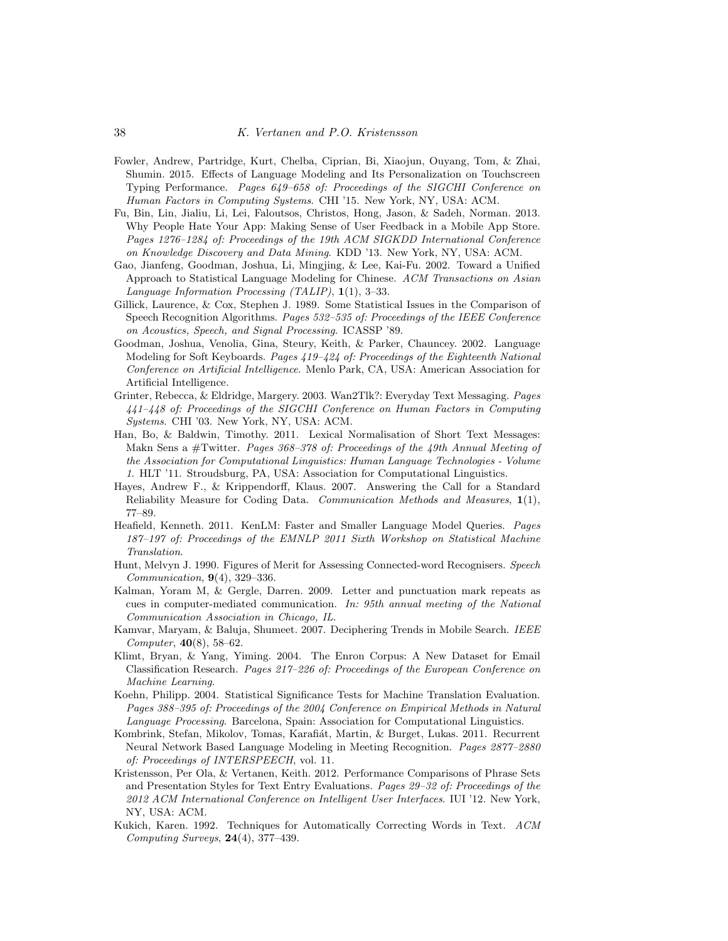- <span id="page-37-8"></span>Fowler, Andrew, Partridge, Kurt, Chelba, Ciprian, Bi, Xiaojun, Ouyang, Tom, & Zhai, Shumin. 2015. Effects of Language Modeling and Its Personalization on Touchscreen Typing Performance. Pages 649–658 of: Proceedings of the SIGCHI Conference on Human Factors in Computing Systems. CHI '15. New York, NY, USA: ACM.
- <span id="page-37-4"></span>Fu, Bin, Lin, Jialiu, Li, Lei, Faloutsos, Christos, Hong, Jason, & Sadeh, Norman. 2013. Why People Hate Your App: Making Sense of User Feedback in a Mobile App Store. Pages 1276–1284 of: Proceedings of the 19th ACM SIGKDD International Conference on Knowledge Discovery and Data Mining. KDD '13. New York, NY, USA: ACM.
- <span id="page-37-7"></span>Gao, Jianfeng, Goodman, Joshua, Li, Mingjing, & Lee, Kai-Fu. 2002. Toward a Unified Approach to Statistical Language Modeling for Chinese. ACM Transactions on Asian Language Information Processing (TALIP), 1(1), 3–33.
- <span id="page-37-13"></span>Gillick, Laurence, & Cox, Stephen J. 1989. Some Statistical Issues in the Comparison of Speech Recognition Algorithms. Pages 532–535 of: Proceedings of the IEEE Conference on Acoustics, Speech, and Signal Processing. ICASSP '89.
- <span id="page-37-6"></span>Goodman, Joshua, Venolia, Gina, Steury, Keith, & Parker, Chauncey. 2002. Language Modeling for Soft Keyboards. Pages 419–424 of: Proceedings of the Eighteenth National Conference on Artificial Intelligence. Menlo Park, CA, USA: American Association for Artificial Intelligence.
- <span id="page-37-2"></span>Grinter, Rebecca, & Eldridge, Margery. 2003. Wan2Tlk?: Everyday Text Messaging. Pages 441–448 of: Proceedings of the SIGCHI Conference on Human Factors in Computing Systems. CHI '03. New York, NY, USA: ACM.
- <span id="page-37-10"></span>Han, Bo, & Baldwin, Timothy. 2011. Lexical Normalisation of Short Text Messages: Makn Sens a #Twitter. Pages 368–378 of: Proceedings of the 49th Annual Meeting of the Association for Computational Linguistics: Human Language Technologies - Volume 1. HLT '11. Stroudsburg, PA, USA: Association for Computational Linguistics.
- <span id="page-37-11"></span>Hayes, Andrew F., & Krippendorff, Klaus. 2007. Answering the Call for a Standard Reliability Measure for Coding Data. Communication Methods and Measures, 1(1), 77–89.
- <span id="page-37-15"></span>Heafield, Kenneth. 2011. KenLM: Faster and Smaller Language Model Queries. Pages 187–197 of: Proceedings of the EMNLP 2011 Sixth Workshop on Statistical Machine Translation.
- <span id="page-37-12"></span>Hunt, Melvyn J. 1990. Figures of Merit for Assessing Connected-word Recognisers. Speech Communication, 9(4), 329–336.
- <span id="page-37-9"></span>Kalman, Yoram M, & Gergle, Darren. 2009. Letter and punctuation mark repeats as cues in computer-mediated communication. In: 95th annual meeting of the National Communication Association in Chicago, IL.
- <span id="page-37-1"></span>Kamvar, Maryam, & Baluja, Shumeet. 2007. Deciphering Trends in Mobile Search. IEEE Computer, 40(8), 58–62.
- <span id="page-37-3"></span>Klimt, Bryan, & Yang, Yiming. 2004. The Enron Corpus: A New Dataset for Email Classification Research. Pages 217–226 of: Proceedings of the European Conference on Machine Learning.
- <span id="page-37-14"></span>Koehn, Philipp. 2004. Statistical Significance Tests for Machine Translation Evaluation. Pages 388–395 of: Proceedings of the 2004 Conference on Empirical Methods in Natural Language Processing. Barcelona, Spain: Association for Computational Linguistics.
- <span id="page-37-16"></span>Kombrink, Stefan, Mikolov, Tomas, Karafiát, Martin, & Burget, Lukas. 2011. Recurrent Neural Network Based Language Modeling in Meeting Recognition. Pages 2877–2880 of: Proceedings of INTERSPEECH, vol. 11.
- <span id="page-37-0"></span>Kristensson, Per Ola, & Vertanen, Keith. 2012. Performance Comparisons of Phrase Sets and Presentation Styles for Text Entry Evaluations. Pages 29–32 of: Proceedings of the 2012 ACM International Conference on Intelligent User Interfaces. IUI '12. New York, NY, USA: ACM.
- <span id="page-37-5"></span>Kukich, Karen. 1992. Techniques for Automatically Correcting Words in Text. ACM Computing Surveys, 24(4), 377–439.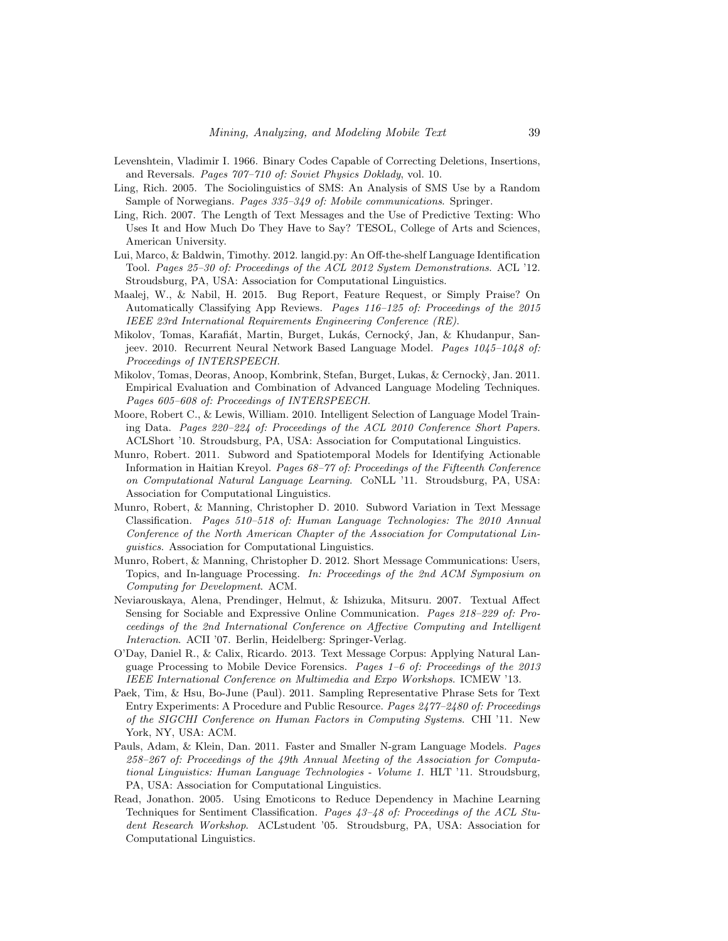- <span id="page-38-12"></span>Levenshtein, Vladimir I. 1966. Binary Codes Capable of Correcting Deletions, Insertions, and Reversals. Pages 707–710 of: Soviet Physics Doklady, vol. 10.
- <span id="page-38-4"></span>Ling, Rich. 2005. The Sociolinguistics of SMS: An Analysis of SMS Use by a Random Sample of Norwegians. Pages 335–349 of: Mobile communications. Springer.
- <span id="page-38-10"></span>Ling, Rich. 2007. The Length of Text Messages and the Use of Predictive Texting: Who Uses It and How Much Do They Have to Say? TESOL, College of Arts and Sciences, American University.
- <span id="page-38-7"></span>Lui, Marco, & Baldwin, Timothy. 2012. [langid.py](https://langid.py): An Off-the-shelf Language Identification Tool. Pages 25–30 of: Proceedings of the ACL 2012 System Demonstrations. ACL '12. Stroudsburg, PA, USA: Association for Computational Linguistics.
- <span id="page-38-3"></span>Maalej, W., & Nabil, H. 2015. Bug Report, Feature Request, or Simply Praise? On Automatically Classifying App Reviews. Pages 116–125 of: Proceedings of the 2015 IEEE 23rd International Requirements Engineering Conference (RE).
- <span id="page-38-14"></span>Mikolov, Tomas, Karafiát, Martin, Burget, Lukás, Cernocký, Jan, & Khudanpur, Sanjeev. 2010. Recurrent Neural Network Based Language Model. Pages 1045–1048 of: Proceedings of INTERSPEECH.
- <span id="page-38-15"></span>Mikolov, Tomas, Deoras, Anoop, Kombrink, Stefan, Burget, Lukas, & Cernock`y, Jan. 2011. Empirical Evaluation and Combination of Advanced Language Modeling Techniques. Pages 605–608 of: Proceedings of INTERSPEECH.
- <span id="page-38-6"></span>Moore, Robert C., & Lewis, William. 2010. Intelligent Selection of Language Model Training Data. Pages 220–224 of: Proceedings of the ACL 2010 Conference Short Papers. ACLShort '10. Stroudsburg, PA, USA: Association for Computational Linguistics.
- <span id="page-38-2"></span>Munro, Robert. 2011. Subword and Spatiotemporal Models for Identifying Actionable Information in Haitian Kreyol. Pages 68–77 of: Proceedings of the Fifteenth Conference on Computational Natural Language Learning. CoNLL '11. Stroudsburg, PA, USA: Association for Computational Linguistics.
- <span id="page-38-1"></span>Munro, Robert, & Manning, Christopher D. 2010. Subword Variation in Text Message Classification. Pages 510–518 of: Human Language Technologies: The 2010 Annual Conference of the North American Chapter of the Association for Computational Linguistics. Association for Computational Linguistics.
- <span id="page-38-5"></span>Munro, Robert, & Manning, Christopher D. 2012. Short Message Communications: Users, Topics, and In-language Processing. In: Proceedings of the 2nd ACM Symposium on Computing for Development. ACM.
- <span id="page-38-9"></span>Neviarouskaya, Alena, Prendinger, Helmut, & Ishizuka, Mitsuru. 2007. Textual Affect Sensing for Sociable and Expressive Online Communication. Pages 218–229 of: Proceedings of the 2nd International Conference on Affective Computing and Intelligent Interaction. ACII '07. Berlin, Heidelberg: Springer-Verlag.
- <span id="page-38-11"></span>O'Day, Daniel R., & Calix, Ricardo. 2013. Text Message Corpus: Applying Natural Language Processing to Mobile Device Forensics. Pages 1–6 of: Proceedings of the 2013 IEEE International Conference on Multimedia and Expo Workshops. ICMEW '13.
- <span id="page-38-0"></span>Paek, Tim, & Hsu, Bo-June (Paul). 2011. Sampling Representative Phrase Sets for Text Entry Experiments: A Procedure and Public Resource. Pages 2477–2480 of: Proceedings of the SIGCHI Conference on Human Factors in Computing Systems. CHI '11. New York, NY, USA: ACM.
- <span id="page-38-13"></span>Pauls, Adam, & Klein, Dan. 2011. Faster and Smaller N-gram Language Models. Pages 258–267 of: Proceedings of the 49th Annual Meeting of the Association for Computational Linguistics: Human Language Technologies - Volume 1. HLT '11. Stroudsburg, PA, USA: Association for Computational Linguistics.
- <span id="page-38-8"></span>Read, Jonathon. 2005. Using Emoticons to Reduce Dependency in Machine Learning Techniques for Sentiment Classification. Pages 43–48 of: Proceedings of the ACL Student Research Workshop. ACLstudent '05. Stroudsburg, PA, USA: Association for Computational Linguistics.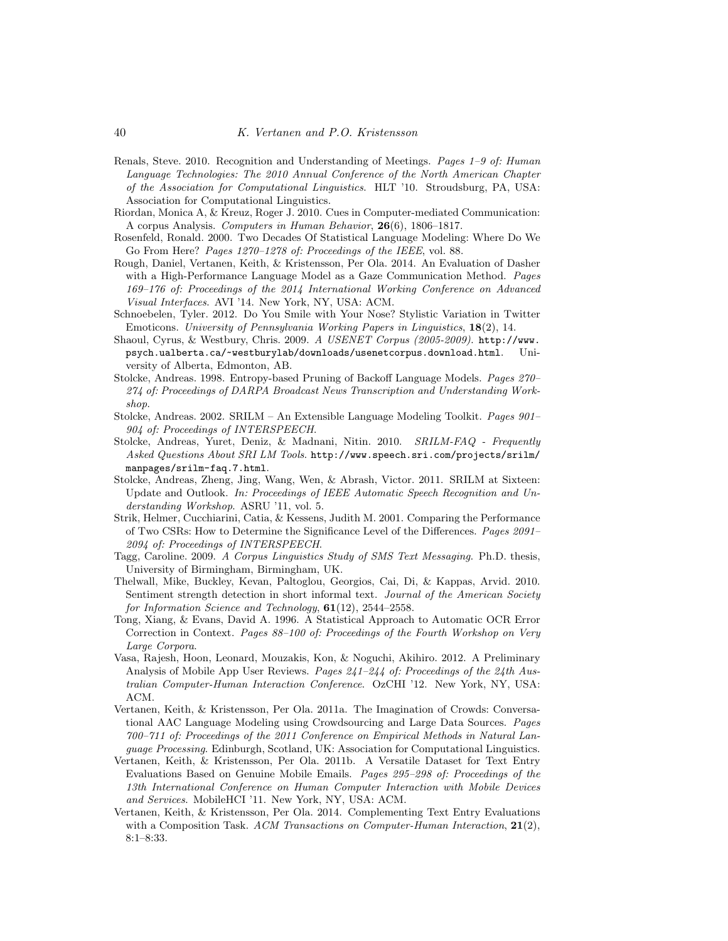- <span id="page-39-2"></span>Renals, Steve. 2010. Recognition and Understanding of Meetings. Pages 1–9 of: Human Language Technologies: The 2010 Annual Conference of the North American Chapter of the Association for Computational Linguistics. HLT '10. Stroudsburg, PA, USA: Association for Computational Linguistics.
- <span id="page-39-7"></span>Riordan, Monica A, & Kreuz, Roger J. 2010. Cues in Computer-mediated Communication: A corpus Analysis. Computers in Human Behavior, 26(6), 1806–1817.
- <span id="page-39-17"></span>Rosenfeld, Ronald. 2000. Two Decades Of Statistical Language Modeling: Where Do We Go From Here? Pages 1270–1278 of: Proceedings of the IEEE, vol. 88.
- <span id="page-39-6"></span>Rough, Daniel, Vertanen, Keith, & Kristensson, Per Ola. 2014. An Evaluation of Dasher with a High-Performance Language Model as a Gaze Communication Method. *Pages* 169–176 of: Proceedings of the 2014 International Working Conference on Advanced Visual Interfaces. AVI '14. New York, NY, USA: ACM.
- <span id="page-39-9"></span>Schnoebelen, Tyler. 2012. Do You Smile with Your Nose? Stylistic Variation in Twitter Emoticons. University of Pennsylvania Working Papers in Linguistics, 18(2), 14.
- <span id="page-39-10"></span>Shaoul, Cyrus, & Westbury, Chris. 2009. A USENET Corpus (2005-2009). [http://www.](http://www.psych.ualberta.ca/~westburylab/downloads/usenetcorpus.download.html) [psych.ualberta.ca/~westburylab/downloads/usenetcorpus.download.html](http://www.psych.ualberta.ca/~westburylab/downloads/usenetcorpus.download.html). University of Alberta, Edmonton, AB.
- <span id="page-39-14"></span>Stolcke, Andreas. 1998. Entropy-based Pruning of Backoff Language Models. Pages 270– 274 of: Proceedings of DARPA Broadcast News Transcription and Understanding Workshop.
- <span id="page-39-11"></span>Stolcke, Andreas. 2002. SRILM – An Extensible Language Modeling Toolkit. Pages 901– 904 of: Proceedings of INTERSPEECH.
- <span id="page-39-13"></span>Stolcke, Andreas, Yuret, Deniz, & Madnani, Nitin. 2010. SRILM-FAQ - Frequently Asked Questions About SRI LM Tools. [http://www.speech.sri.com/projects/srilm/](http://www.speech.sri.com/projects/srilm/manpages/srilm-faq.7.html) [manpages/srilm-faq.7.html](http://www.speech.sri.com/projects/srilm/manpages/srilm-faq.7.html).
- <span id="page-39-12"></span>Stolcke, Andreas, Zheng, Jing, Wang, Wen, & Abrash, Victor. 2011. SRILM at Sixteen: Update and Outlook. In: Proceedings of IEEE Automatic Speech Recognition and Understanding Workshop. ASRU '11, vol. 5.
- <span id="page-39-16"></span>Strik, Helmer, Cucchiarini, Catia, & Kessens, Judith M. 2001. Comparing the Performance of Two CSRs: How to Determine the Significance Level of the Differences. Pages 2091– 2094 of: Proceedings of INTERSPEECH.
- <span id="page-39-3"></span>Tagg, Caroline. 2009. A Corpus Linguistics Study of SMS Text Messaging. Ph.D. thesis, University of Birmingham, Birmingham, UK.
- <span id="page-39-8"></span>Thelwall, Mike, Buckley, Kevan, Paltoglou, Georgios, Cai, Di, & Kappas, Arvid. 2010. Sentiment strength detection in short informal text. Journal of the American Society for Information Science and Technology,  $61(12)$ ,  $2544-2558$ .
- <span id="page-39-4"></span>Tong, Xiang, & Evans, David A. 1996. A Statistical Approach to Automatic OCR Error Correction in Context. Pages 88–100 of: Proceedings of the Fourth Workshop on Very Large Corpora.
- <span id="page-39-1"></span>Vasa, Rajesh, Hoon, Leonard, Mouzakis, Kon, & Noguchi, Akihiro. 2012. A Preliminary Analysis of Mobile App User Reviews. Pages 241–244 of: Proceedings of the 24th Australian Computer-Human Interaction Conference. OzCHI '12. New York, NY, USA: ACM.
- <span id="page-39-5"></span>Vertanen, Keith, & Kristensson, Per Ola. 2011a. The Imagination of Crowds: Conversational AAC Language Modeling using Crowdsourcing and Large Data Sources. Pages 700–711 of: Proceedings of the 2011 Conference on Empirical Methods in Natural Language Processing. Edinburgh, Scotland, UK: Association for Computational Linguistics.
- <span id="page-39-0"></span>Vertanen, Keith, & Kristensson, Per Ola. 2011b. A Versatile Dataset for Text Entry Evaluations Based on Genuine Mobile Emails. Pages 295–298 of: Proceedings of the 13th International Conference on Human Computer Interaction with Mobile Devices and Services. MobileHCI '11. New York, NY, USA: ACM.
- <span id="page-39-15"></span>Vertanen, Keith, & Kristensson, Per Ola. 2014. Complementing Text Entry Evaluations with a Composition Task. ACM Transactions on Computer-Human Interaction,  $21(2)$ , 8:1–8:33.